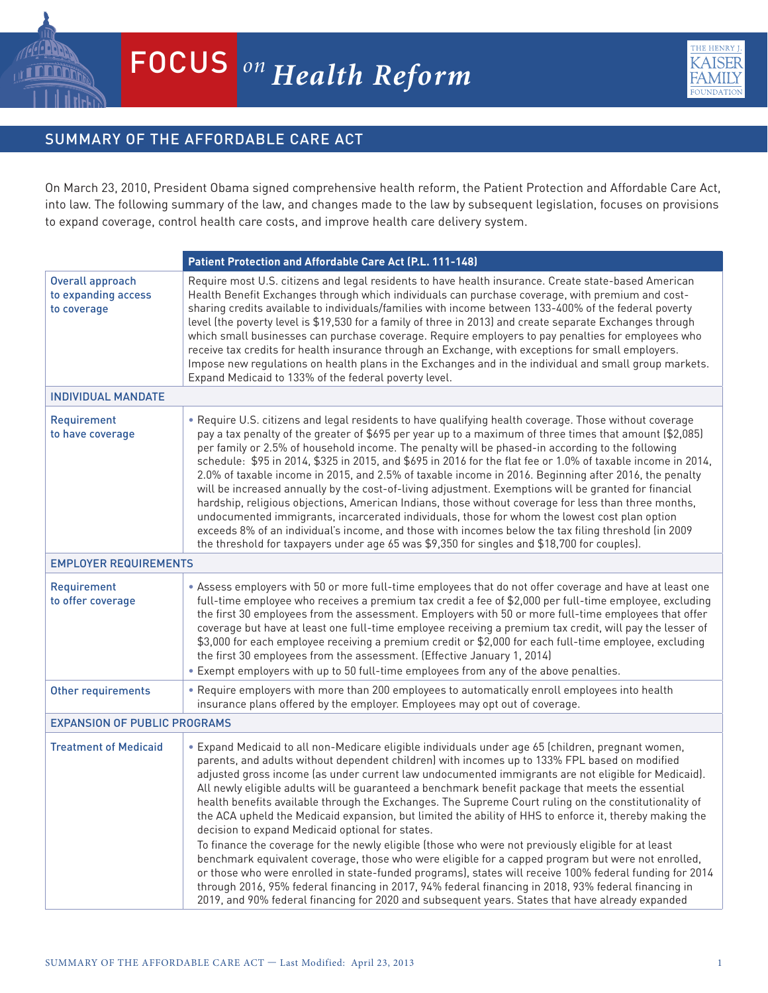

## SUMMARY OF THE AFFORDABLE CARE ACT

On March 23, 2010, President Obama signed comprehensive health reform, the Patient Protection and Affordable Care Act, into law. The following summary of the law, and changes made to the law by subsequent legislation, focuses on provisions to expand coverage, control health care costs, and improve health care delivery system.

|                                                        | Patient Protection and Affordable Care Act (P.L. 111-148)                                                                                                                                                                                                                                                                                                                                                                                                                                                                                                                                                                                                                                                                                                                                                                                                                                                                                                                                                                                                                                                                                                                                                                   |
|--------------------------------------------------------|-----------------------------------------------------------------------------------------------------------------------------------------------------------------------------------------------------------------------------------------------------------------------------------------------------------------------------------------------------------------------------------------------------------------------------------------------------------------------------------------------------------------------------------------------------------------------------------------------------------------------------------------------------------------------------------------------------------------------------------------------------------------------------------------------------------------------------------------------------------------------------------------------------------------------------------------------------------------------------------------------------------------------------------------------------------------------------------------------------------------------------------------------------------------------------------------------------------------------------|
| Overall approach<br>to expanding access<br>to coverage | Require most U.S. citizens and legal residents to have health insurance. Create state-based American<br>Health Benefit Exchanges through which individuals can purchase coverage, with premium and cost-<br>sharing credits available to individuals/families with income between 133-400% of the federal poverty<br>level (the poverty level is \$19,530 for a family of three in 2013) and create separate Exchanges through<br>which small businesses can purchase coverage. Require employers to pay penalties for employees who<br>receive tax credits for health insurance through an Exchange, with exceptions for small employers.<br>Impose new regulations on health plans in the Exchanges and in the individual and small group markets.<br>Expand Medicaid to 133% of the federal poverty level.                                                                                                                                                                                                                                                                                                                                                                                                               |
| <b>INDIVIDUAL MANDATE</b>                              |                                                                                                                                                                                                                                                                                                                                                                                                                                                                                                                                                                                                                                                                                                                                                                                                                                                                                                                                                                                                                                                                                                                                                                                                                             |
| Requirement<br>to have coverage                        | . Require U.S. citizens and legal residents to have qualifying health coverage. Those without coverage<br>pay a tax penalty of the greater of \$695 per year up to a maximum of three times that amount (\$2,085)<br>per family or 2.5% of household income. The penalty will be phased-in according to the following<br>schedule: \$95 in 2014, \$325 in 2015, and \$695 in 2016 for the flat fee or 1.0% of taxable income in 2014,<br>2.0% of taxable income in 2015, and 2.5% of taxable income in 2016. Beginning after 2016, the penalty<br>will be increased annually by the cost-of-living adjustment. Exemptions will be granted for financial<br>hardship, religious objections, American Indians, those without coverage for less than three months,<br>undocumented immigrants, incarcerated individuals, those for whom the lowest cost plan option<br>exceeds 8% of an individual's income, and those with incomes below the tax filing threshold (in 2009<br>the threshold for taxpayers under age 65 was \$9,350 for singles and \$18,700 for couples).                                                                                                                                                     |
| <b>EMPLOYER REQUIREMENTS</b>                           |                                                                                                                                                                                                                                                                                                                                                                                                                                                                                                                                                                                                                                                                                                                                                                                                                                                                                                                                                                                                                                                                                                                                                                                                                             |
| Requirement<br>to offer coverage                       | . Assess employers with 50 or more full-time employees that do not offer coverage and have at least one<br>full-time employee who receives a premium tax credit a fee of \$2,000 per full-time employee, excluding<br>the first 30 employees from the assessment. Employers with 50 or more full-time employees that offer<br>coverage but have at least one full-time employee receiving a premium tax credit, will pay the lesser of<br>\$3,000 for each employee receiving a premium credit or \$2,000 for each full-time employee, excluding<br>the first 30 employees from the assessment. (Effective January 1, 2014)<br>. Exempt employers with up to 50 full-time employees from any of the above penalties.                                                                                                                                                                                                                                                                                                                                                                                                                                                                                                        |
| Other requirements                                     | . Require employers with more than 200 employees to automatically enroll employees into health<br>insurance plans offered by the employer. Employees may opt out of coverage.                                                                                                                                                                                                                                                                                                                                                                                                                                                                                                                                                                                                                                                                                                                                                                                                                                                                                                                                                                                                                                               |
| <b>EXPANSION OF PUBLIC PROGRAMS</b>                    |                                                                                                                                                                                                                                                                                                                                                                                                                                                                                                                                                                                                                                                                                                                                                                                                                                                                                                                                                                                                                                                                                                                                                                                                                             |
| <b>Treatment of Medicaid</b>                           | . Expand Medicaid to all non-Medicare eligible individuals under age 65 (children, pregnant women,<br>parents, and adults without dependent children) with incomes up to 133% FPL based on modified<br>adjusted gross income (as under current law undocumented immigrants are not eligible for Medicaid).<br>All newly eligible adults will be quaranteed a benchmark benefit package that meets the essential<br>health benefits available through the Exchanges. The Supreme Court ruling on the constitutionality of<br>the ACA upheld the Medicaid expansion, but limited the ability of HHS to enforce it, thereby making the<br>decision to expand Medicaid optional for states.<br>To finance the coverage for the newly eligible (those who were not previously eligible for at least<br>benchmark equivalent coverage, those who were eligible for a capped program but were not enrolled,<br>or those who were enrolled in state-funded programs), states will receive 100% federal funding for 2014<br>through 2016, 95% federal financing in 2017, 94% federal financing in 2018, 93% federal financing in<br>2019, and 90% federal financing for 2020 and subsequent years. States that have already expanded |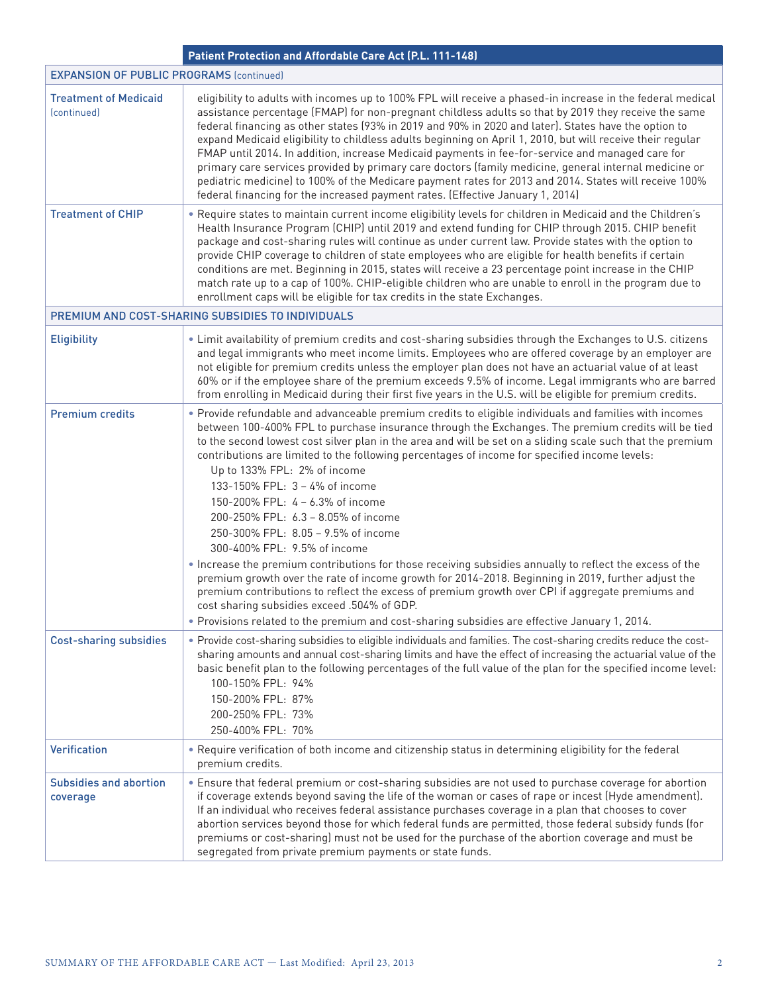**Patient Protection and Affordable Care Act (P.L. 111-148)**

| <b>EXPANSION OF PUBLIC PROGRAMS (continued)</b>    |                                                                                                                                                                                                                                                                                                                                                                                                                                                                                                                                                                                                                                                                                                                                                                                                                                                                                                                                                                                                                                                                                                                       |  |
|----------------------------------------------------|-----------------------------------------------------------------------------------------------------------------------------------------------------------------------------------------------------------------------------------------------------------------------------------------------------------------------------------------------------------------------------------------------------------------------------------------------------------------------------------------------------------------------------------------------------------------------------------------------------------------------------------------------------------------------------------------------------------------------------------------------------------------------------------------------------------------------------------------------------------------------------------------------------------------------------------------------------------------------------------------------------------------------------------------------------------------------------------------------------------------------|--|
| <b>Treatment of Medicaid</b><br><i>(continued)</i> | eligibility to adults with incomes up to 100% FPL will receive a phased-in increase in the federal medical<br>assistance percentage (FMAP) for non-pregnant childless adults so that by 2019 they receive the same<br>federal financing as other states (93% in 2019 and 90% in 2020 and later). States have the option to<br>expand Medicaid eligibility to childless adults beginning on April 1, 2010, but will receive their regular<br>FMAP until 2014. In addition, increase Medicaid payments in fee-for-service and managed care for<br>primary care services provided by primary care doctors (family medicine, general internal medicine or<br>pediatric medicine) to 100% of the Medicare payment rates for 2013 and 2014. States will receive 100%<br>federal financing for the increased payment rates. (Effective January 1, 2014)                                                                                                                                                                                                                                                                      |  |
| <b>Treatment of CHIP</b>                           | . Require states to maintain current income eligibility levels for children in Medicaid and the Children's<br>Health Insurance Program (CHIP) until 2019 and extend funding for CHIP through 2015. CHIP benefit<br>package and cost-sharing rules will continue as under current law. Provide states with the option to<br>provide CHIP coverage to children of state employees who are eligible for health benefits if certain<br>conditions are met. Beginning in 2015, states will receive a 23 percentage point increase in the CHIP<br>match rate up to a cap of 100%. CHIP-eligible children who are unable to enroll in the program due to<br>enrollment caps will be eligible for tax credits in the state Exchanges.                                                                                                                                                                                                                                                                                                                                                                                         |  |
|                                                    | PREMIUM AND COST-SHARING SUBSIDIES TO INDIVIDUALS                                                                                                                                                                                                                                                                                                                                                                                                                                                                                                                                                                                                                                                                                                                                                                                                                                                                                                                                                                                                                                                                     |  |
| <b>Eligibility</b>                                 | . Limit availability of premium credits and cost-sharing subsidies through the Exchanges to U.S. citizens<br>and legal immigrants who meet income limits. Employees who are offered coverage by an employer are<br>not eligible for premium credits unless the employer plan does not have an actuarial value of at least<br>60% or if the employee share of the premium exceeds 9.5% of income. Legal immigrants who are barred<br>from enrolling in Medicaid during their first five years in the U.S. will be eligible for premium credits.                                                                                                                                                                                                                                                                                                                                                                                                                                                                                                                                                                        |  |
| <b>Premium credits</b>                             | . Provide refundable and advanceable premium credits to eligible individuals and families with incomes<br>between 100-400% FPL to purchase insurance through the Exchanges. The premium credits will be tied<br>to the second lowest cost silver plan in the area and will be set on a sliding scale such that the premium<br>contributions are limited to the following percentages of income for specified income levels:<br>Up to 133% FPL: 2% of income<br>133-150% FPL: 3 - 4% of income<br>150-200% FPL: 4 - 6.3% of income<br>200-250% FPL: 6.3 - 8.05% of income<br>250-300% FPL: 8.05 - 9.5% of income<br>300-400% FPL: 9.5% of income<br>. Increase the premium contributions for those receiving subsidies annually to reflect the excess of the<br>premium growth over the rate of income growth for 2014-2018. Beginning in 2019, further adjust the<br>premium contributions to reflect the excess of premium growth over CPI if aggregate premiums and<br>cost sharing subsidies exceed .504% of GDP.<br>. Provisions related to the premium and cost-sharing subsidies are effective January 1, 2014. |  |
| <b>Cost-sharing subsidies</b>                      | . Provide cost-sharing subsidies to eligible individuals and families. The cost-sharing credits reduce the cost-<br>sharing amounts and annual cost-sharing limits and have the effect of increasing the actuarial value of the<br>basic benefit plan to the following percentages of the full value of the plan for the specified income level:<br>100-150% FPL: 94%<br>150-200% FPL: 87%<br>200-250% FPL: 73%<br>250-400% FPL: 70%                                                                                                                                                                                                                                                                                                                                                                                                                                                                                                                                                                                                                                                                                  |  |
| <b>Verification</b>                                | . Require verification of both income and citizenship status in determining eligibility for the federal<br>premium credits.                                                                                                                                                                                                                                                                                                                                                                                                                                                                                                                                                                                                                                                                                                                                                                                                                                                                                                                                                                                           |  |
| <b>Subsidies and abortion</b><br>coverage          | . Ensure that federal premium or cost-sharing subsidies are not used to purchase coverage for abortion<br>if coverage extends beyond saving the life of the woman or cases of rape or incest (Hyde amendment).<br>If an individual who receives federal assistance purchases coverage in a plan that chooses to cover<br>abortion services beyond those for which federal funds are permitted, those federal subsidy funds (for<br>premiums or cost-sharing) must not be used for the purchase of the abortion coverage and must be<br>segregated from private premium payments or state funds.                                                                                                                                                                                                                                                                                                                                                                                                                                                                                                                       |  |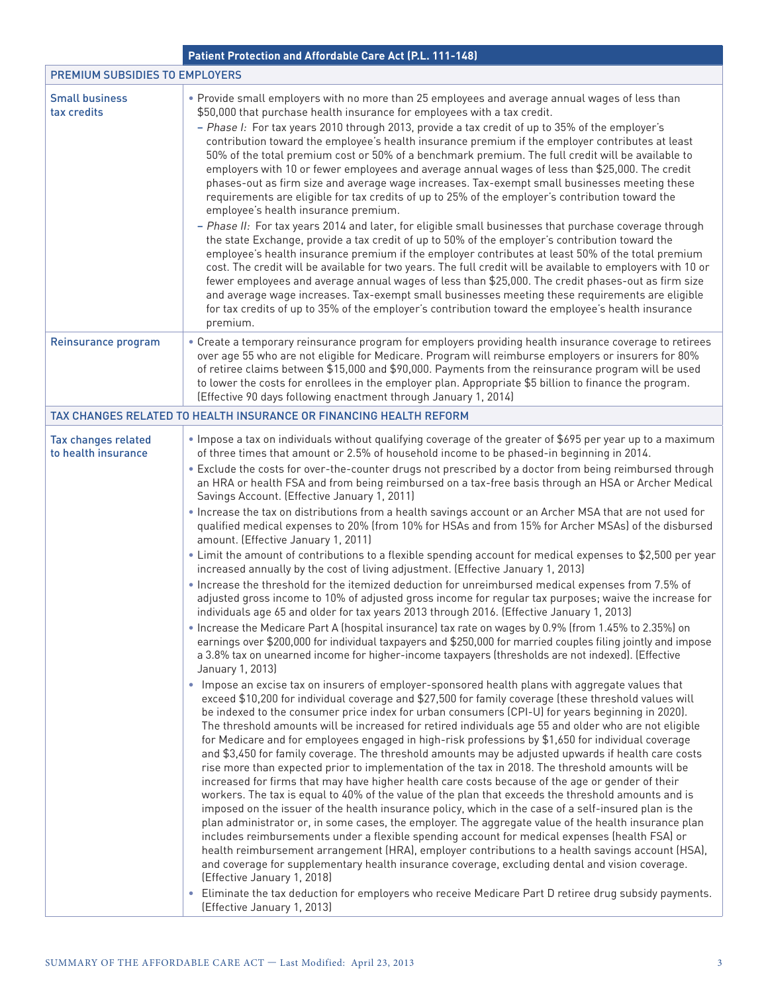|                                            | Patient Protection and Affordable Care Act (P.L. 111-148)                                                                                                                                                                                                                                                                                                                                                                                                                                                                                                                                                                                                                                                                                                                                                                                                                                                                                                                                                                                                                                                                                                                                                                                                                                                                                                                                                                                                                                                                                                                                                                                                                                                                                                                                                                                                                                                                                                                                                                                                                                                                                                                                                                                                                                                                                                                                                                                                                                                                                                                                                                                                                                                                                                                                                                                                                                                                                                                                                                                                                                 |
|--------------------------------------------|-------------------------------------------------------------------------------------------------------------------------------------------------------------------------------------------------------------------------------------------------------------------------------------------------------------------------------------------------------------------------------------------------------------------------------------------------------------------------------------------------------------------------------------------------------------------------------------------------------------------------------------------------------------------------------------------------------------------------------------------------------------------------------------------------------------------------------------------------------------------------------------------------------------------------------------------------------------------------------------------------------------------------------------------------------------------------------------------------------------------------------------------------------------------------------------------------------------------------------------------------------------------------------------------------------------------------------------------------------------------------------------------------------------------------------------------------------------------------------------------------------------------------------------------------------------------------------------------------------------------------------------------------------------------------------------------------------------------------------------------------------------------------------------------------------------------------------------------------------------------------------------------------------------------------------------------------------------------------------------------------------------------------------------------------------------------------------------------------------------------------------------------------------------------------------------------------------------------------------------------------------------------------------------------------------------------------------------------------------------------------------------------------------------------------------------------------------------------------------------------------------------------------------------------------------------------------------------------------------------------------------------------------------------------------------------------------------------------------------------------------------------------------------------------------------------------------------------------------------------------------------------------------------------------------------------------------------------------------------------------------------------------------------------------------------------------------------------------|
| <b>PREMIUM SUBSIDIES TO EMPLOYERS</b>      |                                                                                                                                                                                                                                                                                                                                                                                                                                                                                                                                                                                                                                                                                                                                                                                                                                                                                                                                                                                                                                                                                                                                                                                                                                                                                                                                                                                                                                                                                                                                                                                                                                                                                                                                                                                                                                                                                                                                                                                                                                                                                                                                                                                                                                                                                                                                                                                                                                                                                                                                                                                                                                                                                                                                                                                                                                                                                                                                                                                                                                                                                           |
| <b>Small business</b><br>tax credits       | . Provide small employers with no more than 25 employees and average annual wages of less than<br>\$50,000 that purchase health insurance for employees with a tax credit.<br>- Phase I: For tax years 2010 through 2013, provide a tax credit of up to 35% of the employer's<br>contribution toward the employee's health insurance premium if the employer contributes at least<br>50% of the total premium cost or 50% of a benchmark premium. The full credit will be available to<br>employers with 10 or fewer employees and average annual wages of less than \$25,000. The credit<br>phases-out as firm size and average wage increases. Tax-exempt small businesses meeting these<br>requirements are eligible for tax credits of up to 25% of the employer's contribution toward the<br>employee's health insurance premium.<br>- Phase II: For tax years 2014 and later, for eligible small businesses that purchase coverage through<br>the state Exchange, provide a tax credit of up to 50% of the employer's contribution toward the<br>employee's health insurance premium if the employer contributes at least 50% of the total premium<br>cost. The credit will be available for two years. The full credit will be available to employers with 10 or<br>fewer employees and average annual wages of less than \$25,000. The credit phases-out as firm size<br>and average wage increases. Tax-exempt small businesses meeting these requirements are eligible<br>for tax credits of up to 35% of the employer's contribution toward the employee's health insurance<br>premium.                                                                                                                                                                                                                                                                                                                                                                                                                                                                                                                                                                                                                                                                                                                                                                                                                                                                                                                                                                                                                                                                                                                                                                                                                                                                                                                                                                                                                                                                                        |
| Reinsurance program                        | . Create a temporary reinsurance program for employers providing health insurance coverage to retirees<br>over age 55 who are not eligible for Medicare. Program will reimburse employers or insurers for 80%<br>of retiree claims between \$15,000 and \$90,000. Payments from the reinsurance program will be used<br>to lower the costs for enrollees in the employer plan. Appropriate \$5 billion to finance the program.<br>(Effective 90 days following enactment through January 1, 2014)                                                                                                                                                                                                                                                                                                                                                                                                                                                                                                                                                                                                                                                                                                                                                                                                                                                                                                                                                                                                                                                                                                                                                                                                                                                                                                                                                                                                                                                                                                                                                                                                                                                                                                                                                                                                                                                                                                                                                                                                                                                                                                                                                                                                                                                                                                                                                                                                                                                                                                                                                                                         |
|                                            | TAX CHANGES RELATED TO HEALTH INSURANCE OR FINANCING HEALTH REFORM                                                                                                                                                                                                                                                                                                                                                                                                                                                                                                                                                                                                                                                                                                                                                                                                                                                                                                                                                                                                                                                                                                                                                                                                                                                                                                                                                                                                                                                                                                                                                                                                                                                                                                                                                                                                                                                                                                                                                                                                                                                                                                                                                                                                                                                                                                                                                                                                                                                                                                                                                                                                                                                                                                                                                                                                                                                                                                                                                                                                                        |
| Tax changes related<br>to health insurance | • Impose a tax on individuals without qualifying coverage of the greater of \$695 per year up to a maximum<br>of three times that amount or 2.5% of household income to be phased-in beginning in 2014.<br>. Exclude the costs for over-the-counter drugs not prescribed by a doctor from being reimbursed through<br>an HRA or health FSA and from being reimbursed on a tax-free basis through an HSA or Archer Medical<br>Savings Account. (Effective January 1, 2011)<br>. Increase the tax on distributions from a health savings account or an Archer MSA that are not used for<br>qualified medical expenses to 20% (from 10% for HSAs and from 15% for Archer MSAs) of the disbursed<br>amount. (Effective January 1, 2011)<br>• Limit the amount of contributions to a flexible spending account for medical expenses to \$2,500 per year<br>increased annually by the cost of living adjustment. (Effective January 1, 2013)<br>. Increase the threshold for the itemized deduction for unreimbursed medical expenses from 7.5% of<br>adjusted gross income to 10% of adjusted gross income for regular tax purposes; waive the increase for<br>individuals age 65 and older for tax years 2013 through 2016. (Effective January 1, 2013)<br>• Increase the Medicare Part A (hospital insurance) tax rate on wages by 0.9% (from 1.45% to 2.35%) on<br>earnings over \$200,000 for individual taxpayers and \$250,000 for married couples filing jointly and impose<br>a 3.8% tax on unearned income for higher-income taxpayers (thresholds are not indexed). (Effective<br>January 1, 2013)<br>. Impose an excise tax on insurers of employer-sponsored health plans with aggregate values that<br>exceed \$10,200 for individual coverage and \$27,500 for family coverage (these threshold values will<br>be indexed to the consumer price index for urban consumers (CPI-U) for years beginning in 2020).<br>The threshold amounts will be increased for retired individuals age 55 and older who are not eligible<br>for Medicare and for employees engaged in high-risk professions by \$1,650 for individual coverage<br>and \$3,450 for family coverage. The threshold amounts may be adjusted upwards if health care costs<br>rise more than expected prior to implementation of the tax in 2018. The threshold amounts will be<br>increased for firms that may have higher health care costs because of the age or gender of their<br>workers. The tax is equal to 40% of the value of the plan that exceeds the threshold amounts and is<br>imposed on the issuer of the health insurance policy, which in the case of a self-insured plan is the<br>plan administrator or, in some cases, the employer. The aggregate value of the health insurance plan<br>includes reimbursements under a flexible spending account for medical expenses (health FSA) or<br>health reimbursement arrangement (HRA), employer contributions to a health savings account (HSA),<br>and coverage for supplementary health insurance coverage, excluding dental and vision coverage. |
|                                            | (Effective January 1, 2018)<br>• Eliminate the tax deduction for employers who receive Medicare Part D retiree drug subsidy payments.<br>(Effective January 1, 2013)                                                                                                                                                                                                                                                                                                                                                                                                                                                                                                                                                                                                                                                                                                                                                                                                                                                                                                                                                                                                                                                                                                                                                                                                                                                                                                                                                                                                                                                                                                                                                                                                                                                                                                                                                                                                                                                                                                                                                                                                                                                                                                                                                                                                                                                                                                                                                                                                                                                                                                                                                                                                                                                                                                                                                                                                                                                                                                                      |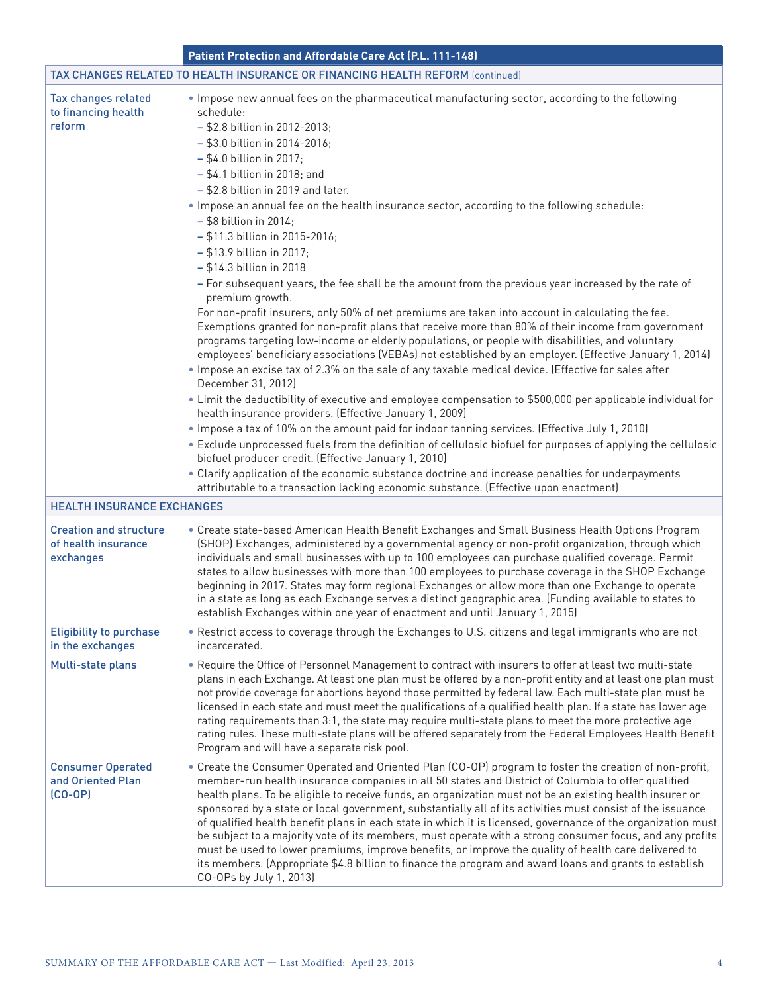|                                                                   | Patient Protection and Affordable Care Act (P.L. 111-148)                                                                                                                                                                                                                                                                                                                                                                                                                                                                                                                                                                                                                                                                                                                                                                                                                                                                                                                                                                                                                                                                                                                                                                                                                                                                                                                                                                                                                                                                                                                                                                                                                                                                                                                                                                                        |
|-------------------------------------------------------------------|--------------------------------------------------------------------------------------------------------------------------------------------------------------------------------------------------------------------------------------------------------------------------------------------------------------------------------------------------------------------------------------------------------------------------------------------------------------------------------------------------------------------------------------------------------------------------------------------------------------------------------------------------------------------------------------------------------------------------------------------------------------------------------------------------------------------------------------------------------------------------------------------------------------------------------------------------------------------------------------------------------------------------------------------------------------------------------------------------------------------------------------------------------------------------------------------------------------------------------------------------------------------------------------------------------------------------------------------------------------------------------------------------------------------------------------------------------------------------------------------------------------------------------------------------------------------------------------------------------------------------------------------------------------------------------------------------------------------------------------------------------------------------------------------------------------------------------------------------|
|                                                                   | TAX CHANGES RELATED TO HEALTH INSURANCE OR FINANCING HEALTH REFORM (continued)                                                                                                                                                                                                                                                                                                                                                                                                                                                                                                                                                                                                                                                                                                                                                                                                                                                                                                                                                                                                                                                                                                                                                                                                                                                                                                                                                                                                                                                                                                                                                                                                                                                                                                                                                                   |
| <b>Tax changes related</b><br>to financing health<br>reform       | . Impose new annual fees on the pharmaceutical manufacturing sector, according to the following<br>schedule:<br>- \$2.8 billion in 2012-2013;<br>- \$3.0 billion in 2014-2016;<br>$-$ \$4.0 billion in 2017;<br>$-$ \$4.1 billion in 2018; and<br>- \$2.8 billion in 2019 and later.<br>. Impose an annual fee on the health insurance sector, according to the following schedule:<br>$-$ \$8 billion in 2014;<br>- \$11.3 billion in 2015-2016;<br>$-$ \$13.9 billion in 2017;<br>$- $14.3$ billion in 2018<br>- For subsequent years, the fee shall be the amount from the previous year increased by the rate of<br>premium growth.<br>For non-profit insurers, only 50% of net premiums are taken into account in calculating the fee.<br>Exemptions granted for non-profit plans that receive more than 80% of their income from government<br>programs targeting low-income or elderly populations, or people with disabilities, and voluntary<br>employees' beneficiary associations (VEBAs) not established by an employer. (Effective January 1, 2014)<br>. Impose an excise tax of 2.3% on the sale of any taxable medical device. (Effective for sales after<br>December 31, 2012)<br>• Limit the deductibility of executive and employee compensation to \$500,000 per applicable individual for<br>health insurance providers. (Effective January 1, 2009)<br>. Impose a tax of 10% on the amount paid for indoor tanning services. (Effective July 1, 2010)<br>. Exclude unprocessed fuels from the definition of cellulosic biofuel for purposes of applying the cellulosic<br>biofuel producer credit. (Effective January 1, 2010)<br>• Clarify application of the economic substance doctrine and increase penalties for underpayments<br>attributable to a transaction lacking economic substance. (Effective upon enactment) |
| <b>HEALTH INSURANCE EXCHANGES</b>                                 |                                                                                                                                                                                                                                                                                                                                                                                                                                                                                                                                                                                                                                                                                                                                                                                                                                                                                                                                                                                                                                                                                                                                                                                                                                                                                                                                                                                                                                                                                                                                                                                                                                                                                                                                                                                                                                                  |
| <b>Creation and structure</b><br>of health insurance<br>exchanges | . Create state-based American Health Benefit Exchanges and Small Business Health Options Program<br>(SHOP) Exchanges, administered by a governmental agency or non-profit organization, through which<br>individuals and small businesses with up to 100 employees can purchase qualified coverage. Permit<br>states to allow businesses with more than 100 employees to purchase coverage in the SHOP Exchange<br>beginning in 2017. States may form regional Exchanges or allow more than one Exchange to operate<br>in a state as long as each Exchange serves a distinct geographic area. (Funding available to states to<br>establish Exchanges within one year of enactment and until January 1, 2015)                                                                                                                                                                                                                                                                                                                                                                                                                                                                                                                                                                                                                                                                                                                                                                                                                                                                                                                                                                                                                                                                                                                                     |
| <b>Eligibility to purchase</b><br>in the exchanges                | • Restrict access to coverage through the Exchanges to U.S. citizens and legal immigrants who are not<br>incarcerated.                                                                                                                                                                                                                                                                                                                                                                                                                                                                                                                                                                                                                                                                                                                                                                                                                                                                                                                                                                                                                                                                                                                                                                                                                                                                                                                                                                                                                                                                                                                                                                                                                                                                                                                           |
| <b>Multi-state plans</b>                                          | . Require the Office of Personnel Management to contract with insurers to offer at least two multi-state<br>plans in each Exchange. At least one plan must be offered by a non-profit entity and at least one plan must<br>not provide coverage for abortions beyond those permitted by federal law. Each multi-state plan must be<br>licensed in each state and must meet the qualifications of a qualified health plan. If a state has lower age<br>rating requirements than 3:1, the state may require multi-state plans to meet the more protective age<br>rating rules. These multi-state plans will be offered separately from the Federal Employees Health Benefit<br>Program and will have a separate risk pool.                                                                                                                                                                                                                                                                                                                                                                                                                                                                                                                                                                                                                                                                                                                                                                                                                                                                                                                                                                                                                                                                                                                         |
| <b>Consumer Operated</b><br>and Oriented Plan<br>$[CO-OP]$        | . Create the Consumer Operated and Oriented Plan (CO-OP) program to foster the creation of non-profit,<br>member-run health insurance companies in all 50 states and District of Columbia to offer qualified<br>health plans. To be eligible to receive funds, an organization must not be an existing health insurer or<br>sponsored by a state or local government, substantially all of its activities must consist of the issuance<br>of qualified health benefit plans in each state in which it is licensed, governance of the organization must<br>be subject to a majority vote of its members, must operate with a strong consumer focus, and any profits<br>must be used to lower premiums, improve benefits, or improve the quality of health care delivered to<br>its members. (Appropriate \$4.8 billion to finance the program and award loans and grants to establish<br>CO-OPs by July 1, 2013)                                                                                                                                                                                                                                                                                                                                                                                                                                                                                                                                                                                                                                                                                                                                                                                                                                                                                                                                  |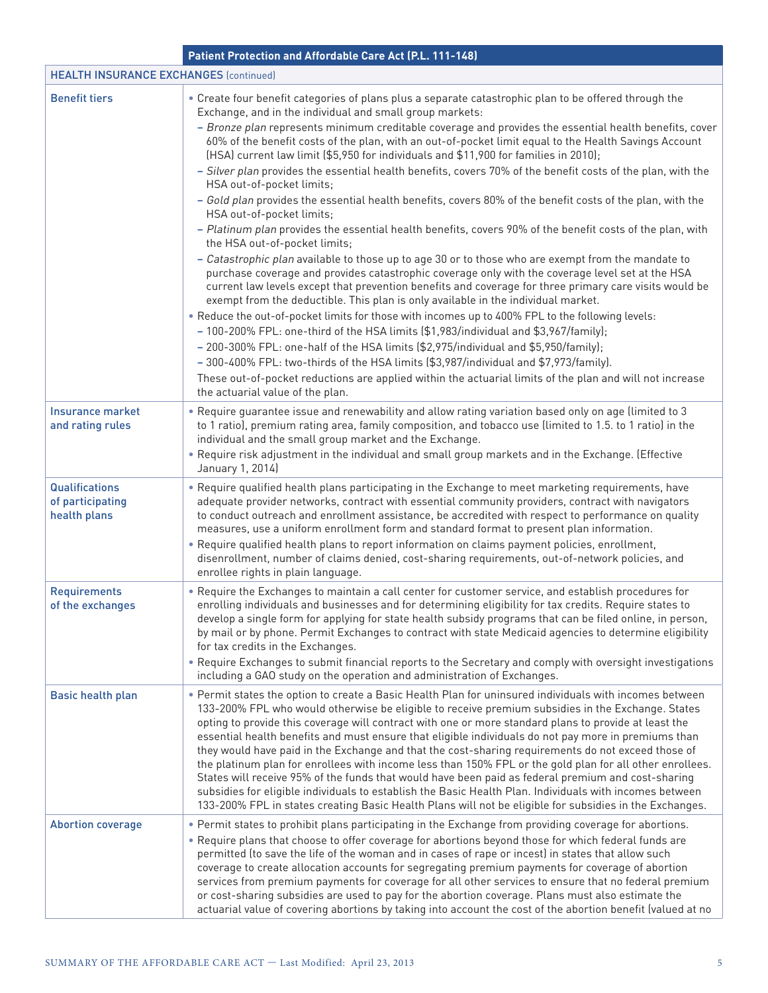|                                                    | Patient Protection and Affordable Care Act (P.L. 111-148)                                                                                                                                                                                                                                                                                                                                                                                                                                                                                                                                                                                                                                                                                                                                                                                                                                                                                                                                                                                                                                                                                                                                                                                                                                                                                                                                                                                                                                                                                                                                                                                                                                                                                                                                                         |  |
|----------------------------------------------------|-------------------------------------------------------------------------------------------------------------------------------------------------------------------------------------------------------------------------------------------------------------------------------------------------------------------------------------------------------------------------------------------------------------------------------------------------------------------------------------------------------------------------------------------------------------------------------------------------------------------------------------------------------------------------------------------------------------------------------------------------------------------------------------------------------------------------------------------------------------------------------------------------------------------------------------------------------------------------------------------------------------------------------------------------------------------------------------------------------------------------------------------------------------------------------------------------------------------------------------------------------------------------------------------------------------------------------------------------------------------------------------------------------------------------------------------------------------------------------------------------------------------------------------------------------------------------------------------------------------------------------------------------------------------------------------------------------------------------------------------------------------------------------------------------------------------|--|
| <b>HEALTH INSURANCE EXCHANGES (continued)</b>      |                                                                                                                                                                                                                                                                                                                                                                                                                                                                                                                                                                                                                                                                                                                                                                                                                                                                                                                                                                                                                                                                                                                                                                                                                                                                                                                                                                                                                                                                                                                                                                                                                                                                                                                                                                                                                   |  |
| <b>Benefit tiers</b>                               | . Create four benefit categories of plans plus a separate catastrophic plan to be offered through the<br>Exchange, and in the individual and small group markets:<br>- Bronze plan represents minimum creditable coverage and provides the essential health benefits, cover<br>60% of the benefit costs of the plan, with an out-of-pocket limit equal to the Health Savings Account<br>(HSA) current law limit (\$5,950 for individuals and \$11,900 for families in 2010);<br>- Silver plan provides the essential health benefits, covers 70% of the benefit costs of the plan, with the<br>HSA out-of-pocket limits;<br>- Gold plan provides the essential health benefits, covers 80% of the benefit costs of the plan, with the<br>HSA out-of-pocket limits;<br>- Platinum plan provides the essential health benefits, covers 90% of the benefit costs of the plan, with<br>the HSA out-of-pocket limits;<br>- Catastrophic plan available to those up to age 30 or to those who are exempt from the mandate to<br>purchase coverage and provides catastrophic coverage only with the coverage level set at the HSA<br>current law levels except that prevention benefits and coverage for three primary care visits would be<br>exempt from the deductible. This plan is only available in the individual market.<br>. Reduce the out-of-pocket limits for those with incomes up to 400% FPL to the following levels:<br>- 100-200% FPL: one-third of the HSA limits (\$1,983/individual and \$3,967/family);<br>- 200-300% FPL: one-half of the HSA limits (\$2,975/individual and \$5,950/family);<br>- 300-400% FPL: two-thirds of the HSA limits (\$3,987/individual and \$7,973/family).<br>These out-of-pocket reductions are applied within the actuarial limits of the plan and will not increase |  |
|                                                    | the actuarial value of the plan.                                                                                                                                                                                                                                                                                                                                                                                                                                                                                                                                                                                                                                                                                                                                                                                                                                                                                                                                                                                                                                                                                                                                                                                                                                                                                                                                                                                                                                                                                                                                                                                                                                                                                                                                                                                  |  |
| Insurance market<br>and rating rules               | · Require guarantee issue and renewability and allow rating variation based only on age (limited to 3<br>to 1 ratio), premium rating area, family composition, and tobacco use (limited to 1.5. to 1 ratio) in the<br>individual and the small group market and the Exchange.<br>. Require risk adjustment in the individual and small group markets and in the Exchange. (Effective<br>January 1, 2014)                                                                                                                                                                                                                                                                                                                                                                                                                                                                                                                                                                                                                                                                                                                                                                                                                                                                                                                                                                                                                                                                                                                                                                                                                                                                                                                                                                                                          |  |
| Qualifications<br>of participating<br>health plans | . Require qualified health plans participating in the Exchange to meet marketing requirements, have<br>adequate provider networks, contract with essential community providers, contract with navigators<br>to conduct outreach and enrollment assistance, be accredited with respect to performance on quality<br>measures, use a uniform enrollment form and standard format to present plan information.<br>. Require qualified health plans to report information on claims payment policies, enrollment,<br>disenrollment, number of claims denied, cost-sharing requirements, out-of-network policies, and<br>enrollee rights in plain language.                                                                                                                                                                                                                                                                                                                                                                                                                                                                                                                                                                                                                                                                                                                                                                                                                                                                                                                                                                                                                                                                                                                                                            |  |
| <b>Requirements</b><br>of the exchanges            | . Require the Exchanges to maintain a call center for customer service, and establish procedures for<br>enrolling individuals and businesses and for determining eligibility for tax credits. Require states to<br>develop a single form for applying for state health subsidy programs that can be filed online, in person,<br>by mail or by phone. Permit Exchanges to contract with state Medicaid agencies to determine eligibility<br>for tax credits in the Exchanges.<br>. Require Exchanges to submit financial reports to the Secretary and comply with oversight investigations<br>including a GAO study on the operation and administration of Exchanges.                                                                                                                                                                                                                                                                                                                                                                                                                                                                                                                                                                                                                                                                                                                                                                                                                                                                                                                                                                                                                                                                                                                                              |  |
| <b>Basic health plan</b>                           | . Permit states the option to create a Basic Health Plan for uninsured individuals with incomes between<br>133-200% FPL who would otherwise be eligible to receive premium subsidies in the Exchange. States<br>opting to provide this coverage will contract with one or more standard plans to provide at least the<br>essential health benefits and must ensure that eligible individuals do not pay more in premiums than<br>they would have paid in the Exchange and that the cost-sharing requirements do not exceed those of<br>the platinum plan for enrollees with income less than 150% FPL or the gold plan for all other enrollees.<br>States will receive 95% of the funds that would have been paid as federal premium and cost-sharing<br>subsidies for eligible individuals to establish the Basic Health Plan. Individuals with incomes between<br>133-200% FPL in states creating Basic Health Plans will not be eligible for subsidies in the Exchanges.                                                                                                                                                                                                                                                                                                                                                                                                                                                                                                                                                                                                                                                                                                                                                                                                                                       |  |
| <b>Abortion coverage</b>                           | . Permit states to prohibit plans participating in the Exchange from providing coverage for abortions.<br>. Require plans that choose to offer coverage for abortions beyond those for which federal funds are<br>permitted (to save the life of the woman and in cases of rape or incest) in states that allow such<br>coverage to create allocation accounts for segregating premium payments for coverage of abortion<br>services from premium payments for coverage for all other services to ensure that no federal premium<br>or cost-sharing subsidies are used to pay for the abortion coverage. Plans must also estimate the<br>actuarial value of covering abortions by taking into account the cost of the abortion benefit (valued at no                                                                                                                                                                                                                                                                                                                                                                                                                                                                                                                                                                                                                                                                                                                                                                                                                                                                                                                                                                                                                                                              |  |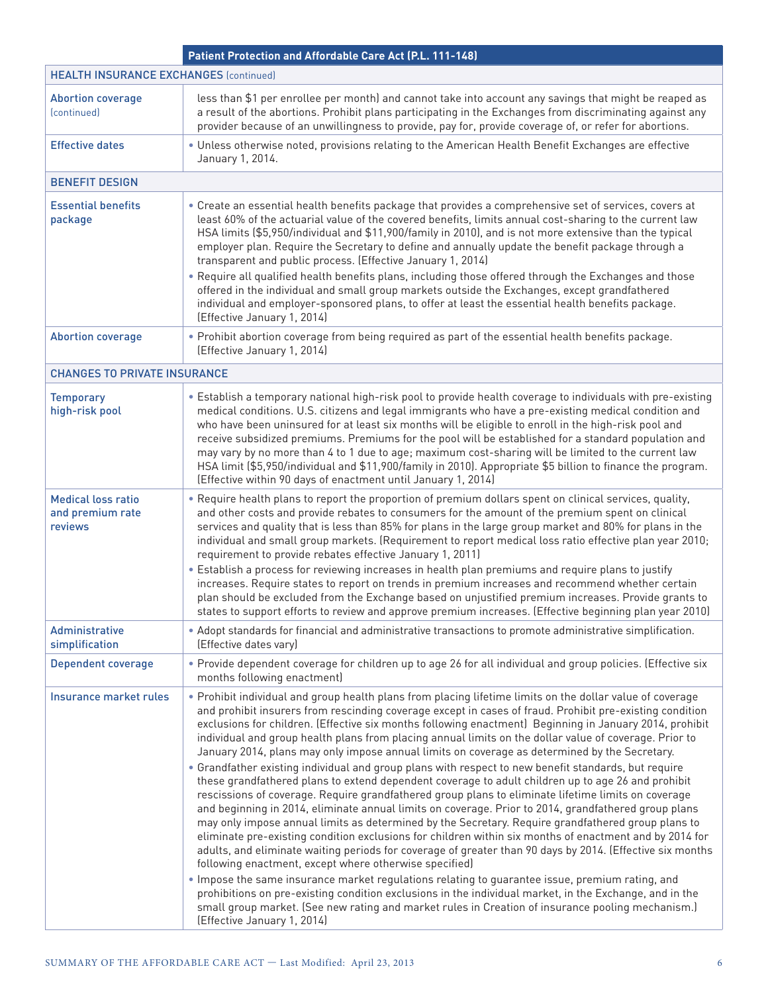|                                                          | Patient Protection and Affordable Care Act (P.L. 111-148)                                                                                                                                                                                                                                                                                                                                                                                                                                                                                                                                                                                                                                                                                                                                                                                                                                                                                                                                                                                                                                                                                                                                                                                                                                                                                                                                                                                                                                                                                                                                                                                                                                                          |  |  |
|----------------------------------------------------------|--------------------------------------------------------------------------------------------------------------------------------------------------------------------------------------------------------------------------------------------------------------------------------------------------------------------------------------------------------------------------------------------------------------------------------------------------------------------------------------------------------------------------------------------------------------------------------------------------------------------------------------------------------------------------------------------------------------------------------------------------------------------------------------------------------------------------------------------------------------------------------------------------------------------------------------------------------------------------------------------------------------------------------------------------------------------------------------------------------------------------------------------------------------------------------------------------------------------------------------------------------------------------------------------------------------------------------------------------------------------------------------------------------------------------------------------------------------------------------------------------------------------------------------------------------------------------------------------------------------------------------------------------------------------------------------------------------------------|--|--|
|                                                          | <b>HEALTH INSURANCE EXCHANGES (continued)</b>                                                                                                                                                                                                                                                                                                                                                                                                                                                                                                                                                                                                                                                                                                                                                                                                                                                                                                                                                                                                                                                                                                                                                                                                                                                                                                                                                                                                                                                                                                                                                                                                                                                                      |  |  |
| <b>Abortion coverage</b><br>(continued)                  | less than \$1 per enrollee per month) and cannot take into account any savings that might be reaped as<br>a result of the abortions. Prohibit plans participating in the Exchanges from discriminating against any<br>provider because of an unwillingness to provide, pay for, provide coverage of, or refer for abortions.                                                                                                                                                                                                                                                                                                                                                                                                                                                                                                                                                                                                                                                                                                                                                                                                                                                                                                                                                                                                                                                                                                                                                                                                                                                                                                                                                                                       |  |  |
| <b>Effective dates</b>                                   | . Unless otherwise noted, provisions relating to the American Health Benefit Exchanges are effective<br>January 1, 2014.                                                                                                                                                                                                                                                                                                                                                                                                                                                                                                                                                                                                                                                                                                                                                                                                                                                                                                                                                                                                                                                                                                                                                                                                                                                                                                                                                                                                                                                                                                                                                                                           |  |  |
| <b>BENEFIT DESIGN</b>                                    |                                                                                                                                                                                                                                                                                                                                                                                                                                                                                                                                                                                                                                                                                                                                                                                                                                                                                                                                                                                                                                                                                                                                                                                                                                                                                                                                                                                                                                                                                                                                                                                                                                                                                                                    |  |  |
| <b>Essential benefits</b><br>package                     | . Create an essential health benefits package that provides a comprehensive set of services, covers at<br>least 60% of the actuarial value of the covered benefits, limits annual cost-sharing to the current law<br>HSA limits (\$5,950/individual and \$11,900/family in 2010), and is not more extensive than the typical<br>employer plan. Require the Secretary to define and annually update the benefit package through a<br>transparent and public process. (Effective January 1, 2014)<br>. Require all qualified health benefits plans, including those offered through the Exchanges and those<br>offered in the individual and small group markets outside the Exchanges, except grandfathered<br>individual and employer-sponsored plans, to offer at least the essential health benefits package.<br>(Effective January 1, 2014)                                                                                                                                                                                                                                                                                                                                                                                                                                                                                                                                                                                                                                                                                                                                                                                                                                                                     |  |  |
| <b>Abortion coverage</b>                                 | . Prohibit abortion coverage from being required as part of the essential health benefits package.<br>(Effective January 1, 2014)                                                                                                                                                                                                                                                                                                                                                                                                                                                                                                                                                                                                                                                                                                                                                                                                                                                                                                                                                                                                                                                                                                                                                                                                                                                                                                                                                                                                                                                                                                                                                                                  |  |  |
| <b>CHANGES TO PRIVATE INSURANCE</b>                      |                                                                                                                                                                                                                                                                                                                                                                                                                                                                                                                                                                                                                                                                                                                                                                                                                                                                                                                                                                                                                                                                                                                                                                                                                                                                                                                                                                                                                                                                                                                                                                                                                                                                                                                    |  |  |
| <b>Temporary</b><br>high-risk pool                       | . Establish a temporary national high-risk pool to provide health coverage to individuals with pre-existing<br>medical conditions. U.S. citizens and legal immigrants who have a pre-existing medical condition and<br>who have been uninsured for at least six months will be eligible to enroll in the high-risk pool and<br>receive subsidized premiums. Premiums for the pool will be established for a standard population and<br>may vary by no more than 4 to 1 due to age; maximum cost-sharing will be limited to the current law<br>HSA limit (\$5,950/individual and \$11,900/family in 2010). Appropriate \$5 billion to finance the program.<br>(Effective within 90 days of enactment until January 1, 2014)                                                                                                                                                                                                                                                                                                                                                                                                                                                                                                                                                                                                                                                                                                                                                                                                                                                                                                                                                                                         |  |  |
| <b>Medical loss ratio</b><br>and premium rate<br>reviews | . Require health plans to report the proportion of premium dollars spent on clinical services, quality,<br>and other costs and provide rebates to consumers for the amount of the premium spent on clinical<br>services and quality that is less than 85% for plans in the large group market and 80% for plans in the<br>individual and small group markets. (Requirement to report medical loss ratio effective plan year 2010;<br>requirement to provide rebates effective January 1, 2011)<br>· Establish a process for reviewing increases in health plan premiums and require plans to justify<br>increases. Require states to report on trends in premium increases and recommend whether certain<br>plan should be excluded from the Exchange based on unjustified premium increases. Provide grants to<br>states to support efforts to review and approve premium increases. (Effective beginning plan year 2010)                                                                                                                                                                                                                                                                                                                                                                                                                                                                                                                                                                                                                                                                                                                                                                                         |  |  |
| <b>Administrative</b><br>simplification                  | . Adopt standards for financial and administrative transactions to promote administrative simplification.<br>(Effective dates vary)                                                                                                                                                                                                                                                                                                                                                                                                                                                                                                                                                                                                                                                                                                                                                                                                                                                                                                                                                                                                                                                                                                                                                                                                                                                                                                                                                                                                                                                                                                                                                                                |  |  |
| <b>Dependent coverage</b>                                | . Provide dependent coverage for children up to age 26 for all individual and group policies. (Effective six<br>months following enactment)                                                                                                                                                                                                                                                                                                                                                                                                                                                                                                                                                                                                                                                                                                                                                                                                                                                                                                                                                                                                                                                                                                                                                                                                                                                                                                                                                                                                                                                                                                                                                                        |  |  |
| Insurance market rules                                   | . Prohibit individual and group health plans from placing lifetime limits on the dollar value of coverage<br>and prohibit insurers from rescinding coverage except in cases of fraud. Prohibit pre-existing condition<br>exclusions for children. (Effective six months following enactment) Beginning in January 2014, prohibit<br>individual and group health plans from placing annual limits on the dollar value of coverage. Prior to<br>January 2014, plans may only impose annual limits on coverage as determined by the Secretary.<br>. Grandfather existing individual and group plans with respect to new benefit standards, but require<br>these grandfathered plans to extend dependent coverage to adult children up to age 26 and prohibit<br>rescissions of coverage. Require grandfathered group plans to eliminate lifetime limits on coverage<br>and beginning in 2014, eliminate annual limits on coverage. Prior to 2014, grandfathered group plans<br>may only impose annual limits as determined by the Secretary. Require grandfathered group plans to<br>eliminate pre-existing condition exclusions for children within six months of enactment and by 2014 for<br>adults, and eliminate waiting periods for coverage of greater than 90 days by 2014. (Effective six months<br>following enactment, except where otherwise specified)<br>. Impose the same insurance market regulations relating to guarantee issue, premium rating, and<br>prohibitions on pre-existing condition exclusions in the individual market, in the Exchange, and in the<br>small group market. (See new rating and market rules in Creation of insurance pooling mechanism.)<br>(Effective January 1, 2014) |  |  |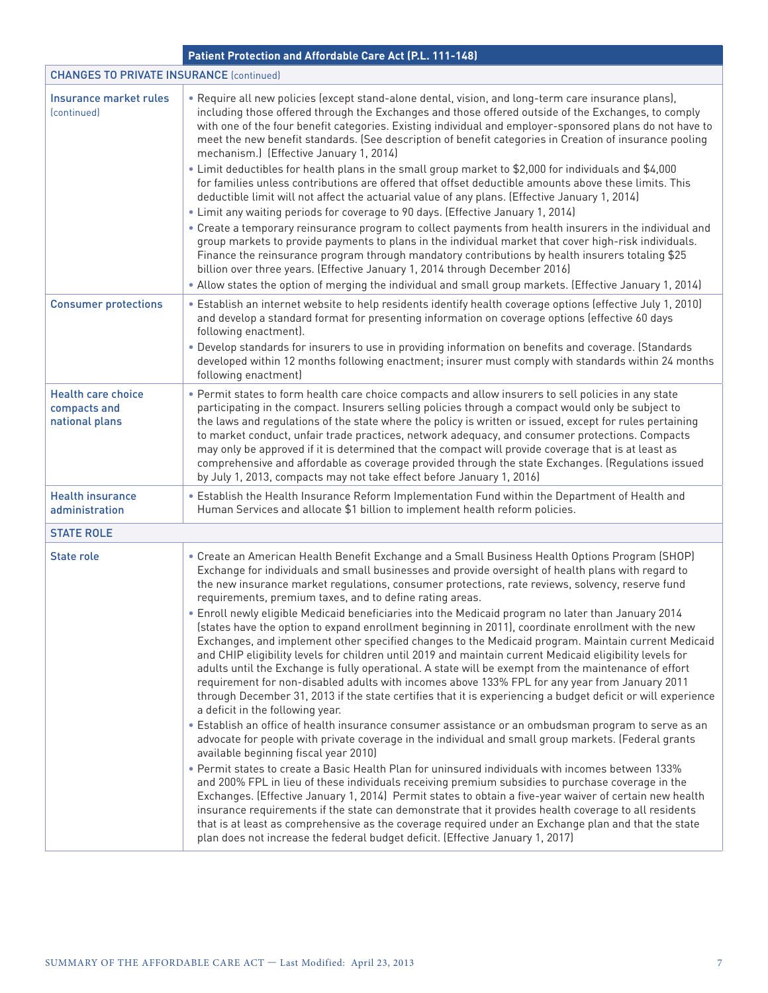## **Patient Protection and Affordable Care Act (P.L. 111-148)**

| <b>CHANGES TO PRIVATE INSURANCE (continued)</b>             |                                                                                                                                                                                                                                                                                                                                                                                                                                                                                                                                                                                                                                                                                                                                                                                                                                                                                                                                                                                                                                                                                                                                                                                                                                                                                                                                                                                                                                                                                                                                                                                                                                                                                                                                                                                                                                                                                                                                                                                                                                                        |  |
|-------------------------------------------------------------|--------------------------------------------------------------------------------------------------------------------------------------------------------------------------------------------------------------------------------------------------------------------------------------------------------------------------------------------------------------------------------------------------------------------------------------------------------------------------------------------------------------------------------------------------------------------------------------------------------------------------------------------------------------------------------------------------------------------------------------------------------------------------------------------------------------------------------------------------------------------------------------------------------------------------------------------------------------------------------------------------------------------------------------------------------------------------------------------------------------------------------------------------------------------------------------------------------------------------------------------------------------------------------------------------------------------------------------------------------------------------------------------------------------------------------------------------------------------------------------------------------------------------------------------------------------------------------------------------------------------------------------------------------------------------------------------------------------------------------------------------------------------------------------------------------------------------------------------------------------------------------------------------------------------------------------------------------------------------------------------------------------------------------------------------------|--|
| Insurance market rules<br><i><u><b>Continued</b></u></i>    | . Require all new policies (except stand-alone dental, vision, and long-term care insurance plans),<br>including those offered through the Exchanges and those offered outside of the Exchanges, to comply<br>with one of the four benefit categories. Existing individual and employer-sponsored plans do not have to<br>meet the new benefit standards. (See description of benefit categories in Creation of insurance pooling<br>mechanism.) (Effective January 1, 2014)<br>• Limit deductibles for health plans in the small group market to \$2,000 for individuals and \$4,000<br>for families unless contributions are offered that offset deductible amounts above these limits. This<br>deductible limit will not affect the actuarial value of any plans. (Effective January 1, 2014)<br>• Limit any waiting periods for coverage to 90 days. (Effective January 1, 2014)<br>. Create a temporary reinsurance program to collect payments from health insurers in the individual and<br>group markets to provide payments to plans in the individual market that cover high-risk individuals.<br>Finance the reinsurance program through mandatory contributions by health insurers totaling \$25<br>billion over three years. (Effective January 1, 2014 through December 2016)<br>. Allow states the option of merging the individual and small group markets. (Effective January 1, 2014)                                                                                                                                                                                                                                                                                                                                                                                                                                                                                                                                                                                                                                                |  |
| <b>Consumer protections</b>                                 | · Establish an internet website to help residents identify health coverage options (effective July 1, 2010)<br>and develop a standard format for presenting information on coverage options (effective 60 days<br>following enactment).<br>. Develop standards for insurers to use in providing information on benefits and coverage. (Standards<br>developed within 12 months following enactment; insurer must comply with standards within 24 months<br>following enactment)                                                                                                                                                                                                                                                                                                                                                                                                                                                                                                                                                                                                                                                                                                                                                                                                                                                                                                                                                                                                                                                                                                                                                                                                                                                                                                                                                                                                                                                                                                                                                                        |  |
| <b>Health care choice</b><br>compacts and<br>national plans | . Permit states to form health care choice compacts and allow insurers to sell policies in any state<br>participating in the compact. Insurers selling policies through a compact would only be subject to<br>the laws and regulations of the state where the policy is written or issued, except for rules pertaining<br>to market conduct, unfair trade practices, network adequacy, and consumer protections. Compacts<br>may only be approved if it is determined that the compact will provide coverage that is at least as<br>comprehensive and affordable as coverage provided through the state Exchanges. (Regulations issued<br>by July 1, 2013, compacts may not take effect before January 1, 2016)                                                                                                                                                                                                                                                                                                                                                                                                                                                                                                                                                                                                                                                                                                                                                                                                                                                                                                                                                                                                                                                                                                                                                                                                                                                                                                                                        |  |
| <b>Health insurance</b><br>administration                   | . Establish the Health Insurance Reform Implementation Fund within the Department of Health and<br>Human Services and allocate \$1 billion to implement health reform policies.                                                                                                                                                                                                                                                                                                                                                                                                                                                                                                                                                                                                                                                                                                                                                                                                                                                                                                                                                                                                                                                                                                                                                                                                                                                                                                                                                                                                                                                                                                                                                                                                                                                                                                                                                                                                                                                                        |  |
| <b>STATE ROLE</b>                                           |                                                                                                                                                                                                                                                                                                                                                                                                                                                                                                                                                                                                                                                                                                                                                                                                                                                                                                                                                                                                                                                                                                                                                                                                                                                                                                                                                                                                                                                                                                                                                                                                                                                                                                                                                                                                                                                                                                                                                                                                                                                        |  |
| State role                                                  | . Create an American Health Benefit Exchange and a Small Business Health Options Program (SHOP)<br>Exchange for individuals and small businesses and provide oversight of health plans with regard to<br>the new insurance market regulations, consumer protections, rate reviews, solvency, reserve fund<br>requirements, premium taxes, and to define rating areas.<br>. Enroll newly eligible Medicaid beneficiaries into the Medicaid program no later than January 2014<br>(states have the option to expand enrollment beginning in 2011), coordinate enrollment with the new<br>Exchanges, and implement other specified changes to the Medicaid program. Maintain current Medicaid<br>and CHIP eligibility levels for children until 2019 and maintain current Medicaid eligibility levels for<br>adults until the Exchange is fully operational. A state will be exempt from the maintenance of effort<br>requirement for non-disabled adults with incomes above 133% FPL for any year from January 2011<br>through December 31, 2013 if the state certifies that it is experiencing a budget deficit or will experience<br>a deficit in the following year.<br>· Establish an office of health insurance consumer assistance or an ombudsman program to serve as an<br>advocate for people with private coverage in the individual and small group markets. (Federal grants<br>available beginning fiscal year 2010)<br>• Permit states to create a Basic Health Plan for uninsured individuals with incomes between 133%<br>and 200% FPL in lieu of these individuals receiving premium subsidies to purchase coverage in the<br>Exchanges. (Effective January 1, 2014) Permit states to obtain a five-year waiver of certain new health<br>insurance requirements if the state can demonstrate that it provides health coverage to all residents<br>that is at least as comprehensive as the coverage required under an Exchange plan and that the state<br>plan does not increase the federal budget deficit. (Effective January 1, 2017) |  |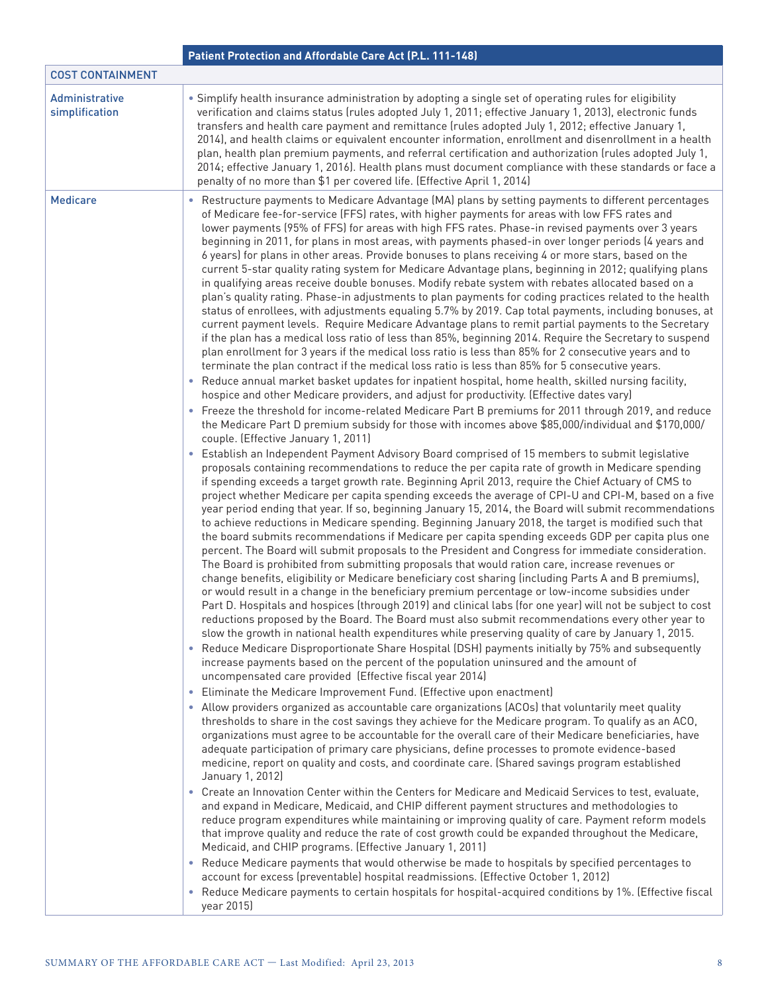|                                         | Patient Protection and Affordable Care Act (P.L. 111-148)                                                                                                                                                                                                                                                                                                                                                                                                                                                                                                                                                                                                                                                                                                                                                                                                                                                                                                                                                                                                                                                                                                                                                                                                                                                                                                                                                                                                                                                                                                                                                                                                                                                                                                                                                                                                                                                                                                                                                                                                                                                                                                                                                                                                                                                                                                                                                                                                                                                                                                                                                                                                                                                                                                                                                                                                                                                                                                                                                                                                                                                                                                                                                                                                                                                                                                                                                                                                                                                                                                                                                                                                                              |
|-----------------------------------------|----------------------------------------------------------------------------------------------------------------------------------------------------------------------------------------------------------------------------------------------------------------------------------------------------------------------------------------------------------------------------------------------------------------------------------------------------------------------------------------------------------------------------------------------------------------------------------------------------------------------------------------------------------------------------------------------------------------------------------------------------------------------------------------------------------------------------------------------------------------------------------------------------------------------------------------------------------------------------------------------------------------------------------------------------------------------------------------------------------------------------------------------------------------------------------------------------------------------------------------------------------------------------------------------------------------------------------------------------------------------------------------------------------------------------------------------------------------------------------------------------------------------------------------------------------------------------------------------------------------------------------------------------------------------------------------------------------------------------------------------------------------------------------------------------------------------------------------------------------------------------------------------------------------------------------------------------------------------------------------------------------------------------------------------------------------------------------------------------------------------------------------------------------------------------------------------------------------------------------------------------------------------------------------------------------------------------------------------------------------------------------------------------------------------------------------------------------------------------------------------------------------------------------------------------------------------------------------------------------------------------------------------------------------------------------------------------------------------------------------------------------------------------------------------------------------------------------------------------------------------------------------------------------------------------------------------------------------------------------------------------------------------------------------------------------------------------------------------------------------------------------------------------------------------------------------------------------------------------------------------------------------------------------------------------------------------------------------------------------------------------------------------------------------------------------------------------------------------------------------------------------------------------------------------------------------------------------------------------------------------------------------------------------------------------------------|
| <b>COST CONTAINMENT</b>                 |                                                                                                                                                                                                                                                                                                                                                                                                                                                                                                                                                                                                                                                                                                                                                                                                                                                                                                                                                                                                                                                                                                                                                                                                                                                                                                                                                                                                                                                                                                                                                                                                                                                                                                                                                                                                                                                                                                                                                                                                                                                                                                                                                                                                                                                                                                                                                                                                                                                                                                                                                                                                                                                                                                                                                                                                                                                                                                                                                                                                                                                                                                                                                                                                                                                                                                                                                                                                                                                                                                                                                                                                                                                                                        |
| <b>Administrative</b><br>simplification | . Simplify health insurance administration by adopting a single set of operating rules for eligibility<br>verification and claims status (rules adopted July 1, 2011; effective January 1, 2013), electronic funds<br>transfers and health care payment and remittance (rules adopted July 1, 2012; effective January 1,<br>2014), and health claims or equivalent encounter information, enrollment and disenrollment in a health<br>plan, health plan premium payments, and referral certification and authorization (rules adopted July 1,<br>2014; effective January 1, 2016). Health plans must document compliance with these standards or face a<br>penalty of no more than \$1 per covered life. (Effective April 1, 2014)                                                                                                                                                                                                                                                                                                                                                                                                                                                                                                                                                                                                                                                                                                                                                                                                                                                                                                                                                                                                                                                                                                                                                                                                                                                                                                                                                                                                                                                                                                                                                                                                                                                                                                                                                                                                                                                                                                                                                                                                                                                                                                                                                                                                                                                                                                                                                                                                                                                                                                                                                                                                                                                                                                                                                                                                                                                                                                                                                     |
| <b>Medicare</b>                         | • Restructure payments to Medicare Advantage (MA) plans by setting payments to different percentages<br>of Medicare fee-for-service (FFS) rates, with higher payments for areas with low FFS rates and<br>lower payments (95% of FFS) for areas with high FFS rates. Phase-in revised payments over 3 years<br>beginning in 2011, for plans in most areas, with payments phased-in over longer periods (4 years and<br>6 years) for plans in other areas. Provide bonuses to plans receiving 4 or more stars, based on the<br>current 5-star quality rating system for Medicare Advantage plans, beginning in 2012; qualifying plans<br>in qualifying areas receive double bonuses. Modify rebate system with rebates allocated based on a<br>plan's quality rating. Phase-in adjustments to plan payments for coding practices related to the health<br>status of enrollees, with adjustments equaling 5.7% by 2019. Cap total payments, including bonuses, at<br>current payment levels. Require Medicare Advantage plans to remit partial payments to the Secretary<br>if the plan has a medical loss ratio of less than 85%, beginning 2014. Require the Secretary to suspend<br>plan enrollment for 3 years if the medical loss ratio is less than 85% for 2 consecutive years and to<br>terminate the plan contract if the medical loss ratio is less than 85% for 5 consecutive years.<br>. Reduce annual market basket updates for inpatient hospital, home health, skilled nursing facility,<br>hospice and other Medicare providers, and adjust for productivity. (Effective dates vary)<br>Freeze the threshold for income-related Medicare Part B premiums for 2011 through 2019, and reduce<br>the Medicare Part D premium subsidy for those with incomes above \$85,000/individual and \$170,000/<br>couple. (Effective January 1, 2011)<br>• Establish an Independent Payment Advisory Board comprised of 15 members to submit legislative<br>proposals containing recommendations to reduce the per capita rate of growth in Medicare spending<br>if spending exceeds a target growth rate. Beginning April 2013, require the Chief Actuary of CMS to<br>project whether Medicare per capita spending exceeds the average of CPI-U and CPI-M, based on a five<br>year period ending that year. If so, beginning January 15, 2014, the Board will submit recommendations<br>to achieve reductions in Medicare spending. Beginning January 2018, the target is modified such that<br>the board submits recommendations if Medicare per capita spending exceeds GDP per capita plus one<br>percent. The Board will submit proposals to the President and Congress for immediate consideration.<br>The Board is prohibited from submitting proposals that would ration care, increase revenues or<br>change benefits, eligibility or Medicare beneficiary cost sharing (including Parts A and B premiums),<br>or would result in a change in the beneficiary premium percentage or low-income subsidies under<br>Part D. Hospitals and hospices (through 2019) and clinical labs (for one year) will not be subject to cost<br>reductions proposed by the Board. The Board must also submit recommendations every other year to<br>slow the growth in national health expenditures while preserving quality of care by January 1, 2015.<br>• Reduce Medicare Disproportionate Share Hospital (DSH) payments initially by 75% and subsequently<br>increase payments based on the percent of the population uninsured and the amount of<br>uncompensated care provided (Effective fiscal year 2014)<br>• Eliminate the Medicare Improvement Fund. (Effective upon enactment) |
|                                         | • Allow providers organized as accountable care organizations (ACOs) that voluntarily meet quality<br>thresholds to share in the cost savings they achieve for the Medicare program. To qualify as an ACO,<br>organizations must agree to be accountable for the overall care of their Medicare beneficiaries, have<br>adequate participation of primary care physicians, define processes to promote evidence-based<br>medicine, report on quality and costs, and coordinate care. (Shared savings program established<br>January 1, 2012)<br>. Create an Innovation Center within the Centers for Medicare and Medicaid Services to test, evaluate,<br>and expand in Medicare, Medicaid, and CHIP different payment structures and methodologies to<br>reduce program expenditures while maintaining or improving quality of care. Payment reform models<br>that improve quality and reduce the rate of cost growth could be expanded throughout the Medicare,<br>Medicaid, and CHIP programs. (Effective January 1, 2011)<br>• Reduce Medicare payments that would otherwise be made to hospitals by specified percentages to<br>account for excess (preventable) hospital readmissions. (Effective October 1, 2012)<br>• Reduce Medicare payments to certain hospitals for hospital-acquired conditions by 1%. (Effective fiscal<br>year 2015)                                                                                                                                                                                                                                                                                                                                                                                                                                                                                                                                                                                                                                                                                                                                                                                                                                                                                                                                                                                                                                                                                                                                                                                                                                                                                                                                                                                                                                                                                                                                                                                                                                                                                                                                                                                                                                                                                                                                                                                                                                                                                                                                                                                                                                                                                                                                     |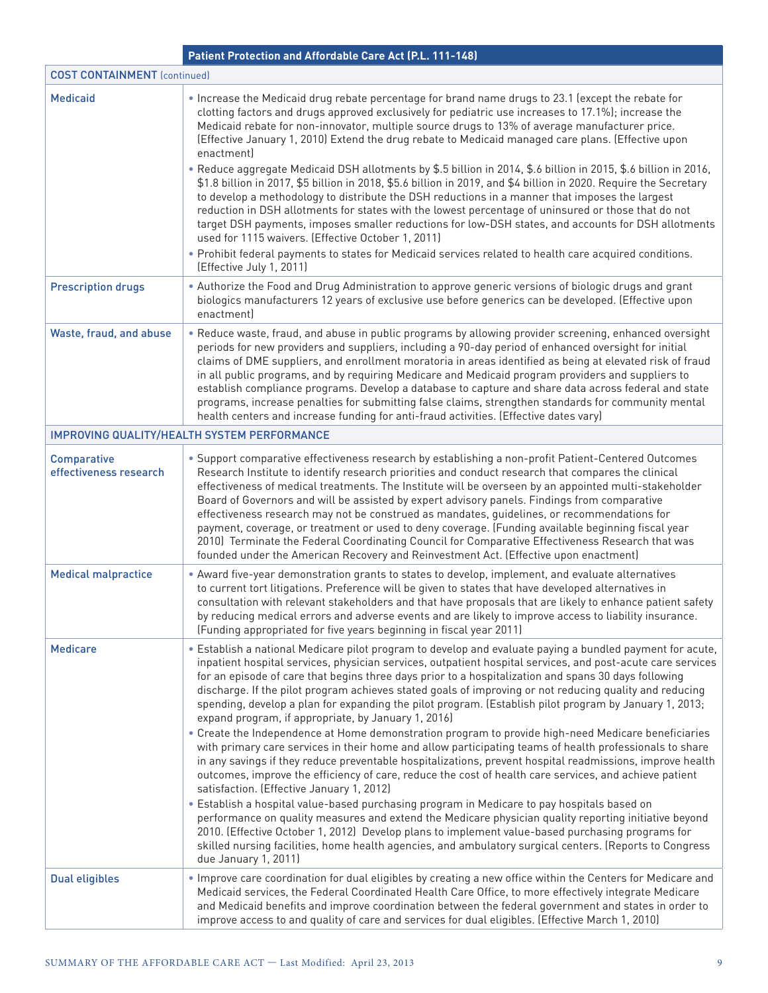|                                       | Patient Protection and Affordable Care Act (P.L. 111-148)                                                                                                                                                                                                                                                                                                                                                                                                                                                                                                                                                                                                                                                                                                                                                                                                                                                                                                                                                                                                                                                                                                                                                                                                                                                                                                                                                                                                                                                                                         |
|---------------------------------------|---------------------------------------------------------------------------------------------------------------------------------------------------------------------------------------------------------------------------------------------------------------------------------------------------------------------------------------------------------------------------------------------------------------------------------------------------------------------------------------------------------------------------------------------------------------------------------------------------------------------------------------------------------------------------------------------------------------------------------------------------------------------------------------------------------------------------------------------------------------------------------------------------------------------------------------------------------------------------------------------------------------------------------------------------------------------------------------------------------------------------------------------------------------------------------------------------------------------------------------------------------------------------------------------------------------------------------------------------------------------------------------------------------------------------------------------------------------------------------------------------------------------------------------------------|
| <b>COST CONTAINMENT</b> (continued)   |                                                                                                                                                                                                                                                                                                                                                                                                                                                                                                                                                                                                                                                                                                                                                                                                                                                                                                                                                                                                                                                                                                                                                                                                                                                                                                                                                                                                                                                                                                                                                   |
| <b>Medicaid</b>                       | . Increase the Medicaid drug rebate percentage for brand name drugs to 23.1 (except the rebate for<br>clotting factors and drugs approved exclusively for pediatric use increases to 17.1%); increase the<br>Medicaid rebate for non-innovator, multiple source drugs to 13% of average manufacturer price.<br>(Effective January 1, 2010) Extend the drug rebate to Medicaid managed care plans. (Effective upon<br>enactmentl<br>• Reduce aggregate Medicaid DSH allotments by \$.5 billion in 2014, \$.6 billion in 2015, \$.6 billion in 2016,<br>\$1.8 billion in 2017, \$5 billion in 2018, \$5.6 billion in 2019, and \$4 billion in 2020. Require the Secretary<br>to develop a methodology to distribute the DSH reductions in a manner that imposes the largest<br>reduction in DSH allotments for states with the lowest percentage of uninsured or those that do not<br>target DSH payments, imposes smaller reductions for low-DSH states, and accounts for DSH allotments<br>used for 1115 waivers. (Effective October 1, 2011)<br>. Prohibit federal payments to states for Medicaid services related to health care acquired conditions.<br>(Effective July 1, 2011)                                                                                                                                                                                                                                                                                                                                                              |
| <b>Prescription drugs</b>             | . Authorize the Food and Drug Administration to approve generic versions of biologic drugs and grant<br>biologics manufacturers 12 years of exclusive use before generics can be developed. (Effective upon<br>enactment)                                                                                                                                                                                                                                                                                                                                                                                                                                                                                                                                                                                                                                                                                                                                                                                                                                                                                                                                                                                                                                                                                                                                                                                                                                                                                                                         |
| Waste, fraud, and abuse               | . Reduce waste, fraud, and abuse in public programs by allowing provider screening, enhanced oversight<br>periods for new providers and suppliers, including a 90-day period of enhanced oversight for initial<br>claims of DME suppliers, and enrollment moratoria in areas identified as being at elevated risk of fraud<br>in all public programs, and by requiring Medicare and Medicaid program providers and suppliers to<br>establish compliance programs. Develop a database to capture and share data across federal and state<br>programs, increase penalties for submitting false claims, strengthen standards for community mental<br>health centers and increase funding for anti-fraud activities. (Effective dates vary)                                                                                                                                                                                                                                                                                                                                                                                                                                                                                                                                                                                                                                                                                                                                                                                                           |
|                                       | <b>IMPROVING QUALITY/HEALTH SYSTEM PERFORMANCE</b>                                                                                                                                                                                                                                                                                                                                                                                                                                                                                                                                                                                                                                                                                                                                                                                                                                                                                                                                                                                                                                                                                                                                                                                                                                                                                                                                                                                                                                                                                                |
| Comparative<br>effectiveness research | . Support comparative effectiveness research by establishing a non-profit Patient-Centered Outcomes<br>Research Institute to identify research priorities and conduct research that compares the clinical<br>effectiveness of medical treatments. The Institute will be overseen by an appointed multi-stakeholder<br>Board of Governors and will be assisted by expert advisory panels. Findings from comparative<br>effectiveness research may not be construed as mandates, guidelines, or recommendations for<br>payment, coverage, or treatment or used to deny coverage. (Funding available beginning fiscal year<br>2010) Terminate the Federal Coordinating Council for Comparative Effectiveness Research that was<br>founded under the American Recovery and Reinvestment Act. (Effective upon enactment)                                                                                                                                                                                                                                                                                                                                                                                                                                                                                                                                                                                                                                                                                                                               |
| <b>Medical malpractice</b>            | . Award five-year demonstration grants to states to develop, implement, and evaluate alternatives<br>to current tort litigations. Preference will be given to states that have developed alternatives in<br>consultation with relevant stakeholders and that have proposals that are likely to enhance patient safety<br>by reducing medical errors and adverse events and are likely to improve access to liability insurance.<br>(Funding appropriated for five years beginning in fiscal year 2011)                                                                                                                                                                                                                                                                                                                                                                                                                                                                                                                                                                                                                                                                                                                                                                                                                                                                                                                                                                                                                                            |
| <b>Medicare</b>                       | . Establish a national Medicare pilot program to develop and evaluate paying a bundled payment for acute,<br>inpatient hospital services, physician services, outpatient hospital services, and post-acute care services<br>for an episode of care that begins three days prior to a hospitalization and spans 30 days following<br>discharge. If the pilot program achieves stated goals of improving or not reducing quality and reducing<br>spending, develop a plan for expanding the pilot program. (Establish pilot program by January 1, 2013;<br>expand program, if appropriate, by January 1, 2016)<br>. Create the Independence at Home demonstration program to provide high-need Medicare beneficiaries<br>with primary care services in their home and allow participating teams of health professionals to share<br>in any savings if they reduce preventable hospitalizations, prevent hospital readmissions, improve health<br>outcomes, improve the efficiency of care, reduce the cost of health care services, and achieve patient<br>satisfaction. (Effective January 1, 2012)<br>· Establish a hospital value-based purchasing program in Medicare to pay hospitals based on<br>performance on quality measures and extend the Medicare physician quality reporting initiative beyond<br>2010. (Effective October 1, 2012) Develop plans to implement value-based purchasing programs for<br>skilled nursing facilities, home health agencies, and ambulatory surgical centers. (Reports to Congress<br>due January 1, 2011) |
| <b>Dual eligibles</b>                 | Improve care coordination for dual eligibles by creating a new office within the Centers for Medicare and<br>Medicaid services, the Federal Coordinated Health Care Office, to more effectively integrate Medicare<br>and Medicaid benefits and improve coordination between the federal government and states in order to<br>improve access to and quality of care and services for dual eligibles. (Effective March 1, 2010)                                                                                                                                                                                                                                                                                                                                                                                                                                                                                                                                                                                                                                                                                                                                                                                                                                                                                                                                                                                                                                                                                                                    |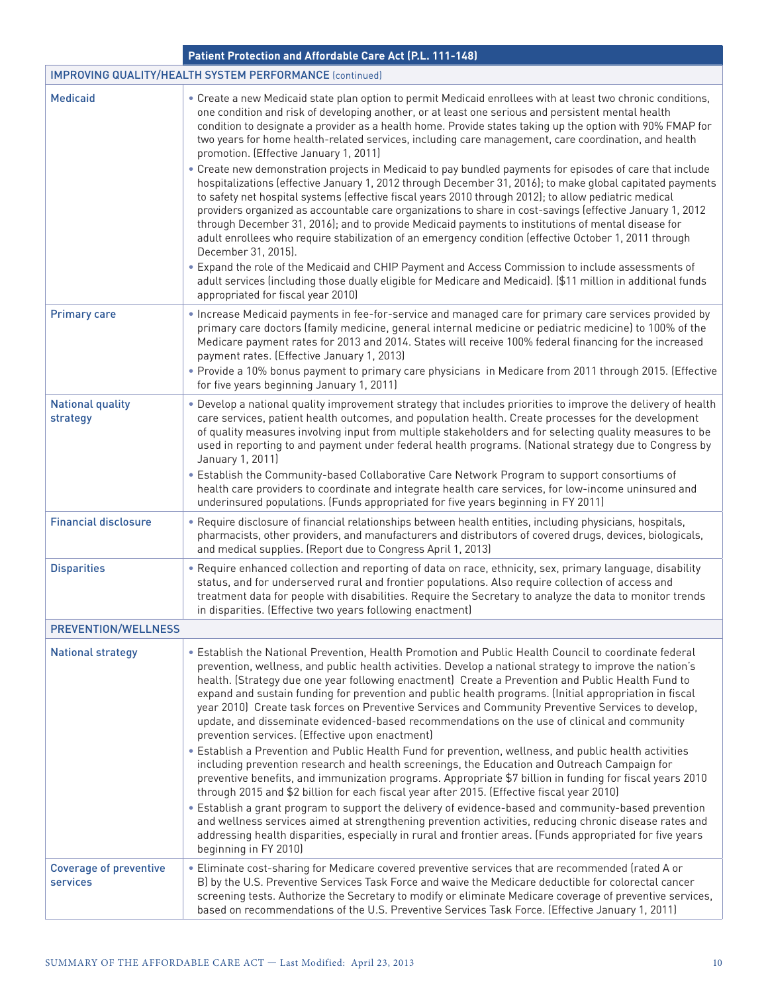|                                                                | Patient Protection and Affordable Care Act (P.L. 111-148)                                                                                                                                                                                                                                                                                                                                                                                                                                                                                                                                                                                                                                                                                                                                          |  |
|----------------------------------------------------------------|----------------------------------------------------------------------------------------------------------------------------------------------------------------------------------------------------------------------------------------------------------------------------------------------------------------------------------------------------------------------------------------------------------------------------------------------------------------------------------------------------------------------------------------------------------------------------------------------------------------------------------------------------------------------------------------------------------------------------------------------------------------------------------------------------|--|
| <b>IMPROVING QUALITY/HEALTH SYSTEM PERFORMANCE (continued)</b> |                                                                                                                                                                                                                                                                                                                                                                                                                                                                                                                                                                                                                                                                                                                                                                                                    |  |
| <b>Medicaid</b>                                                | . Create a new Medicaid state plan option to permit Medicaid enrollees with at least two chronic conditions,<br>one condition and risk of developing another, or at least one serious and persistent mental health<br>condition to designate a provider as a health home. Provide states taking up the option with 90% FMAP for<br>two years for home health-related services, including care management, care coordination, and health<br>promotion. (Effective January 1, 2011)<br>. Create new demonstration projects in Medicaid to pay bundled payments for episodes of care that include                                                                                                                                                                                                     |  |
|                                                                | hospitalizations (effective January 1, 2012 through December 31, 2016); to make global capitated payments<br>to safety net hospital systems (effective fiscal years 2010 through 2012); to allow pediatric medical<br>providers organized as accountable care organizations to share in cost-savings (effective January 1, 2012<br>through December 31, 2016); and to provide Medicaid payments to institutions of mental disease for<br>adult enrollees who require stabilization of an emergency condition (effective October 1, 2011 through<br>December 31, 2015).                                                                                                                                                                                                                             |  |
|                                                                | . Expand the role of the Medicaid and CHIP Payment and Access Commission to include assessments of<br>adult services (including those dually eligible for Medicare and Medicaid). (\$11 million in additional funds<br>appropriated for fiscal year 2010)                                                                                                                                                                                                                                                                                                                                                                                                                                                                                                                                          |  |
| <b>Primary care</b>                                            | · Increase Medicaid payments in fee-for-service and managed care for primary care services provided by<br>primary care doctors (family medicine, general internal medicine or pediatric medicine) to 100% of the<br>Medicare payment rates for 2013 and 2014. States will receive 100% federal financing for the increased<br>payment rates. (Effective January 1, 2013)<br>. Provide a 10% bonus payment to primary care physicians in Medicare from 2011 through 2015. (Effective                                                                                                                                                                                                                                                                                                                |  |
|                                                                | for five years beginning January 1, 2011)                                                                                                                                                                                                                                                                                                                                                                                                                                                                                                                                                                                                                                                                                                                                                          |  |
| <b>National quality</b><br>strategy                            | . Develop a national quality improvement strategy that includes priorities to improve the delivery of health<br>care services, patient health outcomes, and population health. Create processes for the development<br>of quality measures involving input from multiple stakeholders and for selecting quality measures to be<br>used in reporting to and payment under federal health programs. (National strategy due to Congress by<br>January 1, 2011)                                                                                                                                                                                                                                                                                                                                        |  |
|                                                                | . Establish the Community-based Collaborative Care Network Program to support consortiums of<br>health care providers to coordinate and integrate health care services, for low-income uninsured and<br>underinsured populations. (Funds appropriated for five years beginning in FY 2011)                                                                                                                                                                                                                                                                                                                                                                                                                                                                                                         |  |
| <b>Financial disclosure</b>                                    | . Require disclosure of financial relationships between health entities, including physicians, hospitals,<br>pharmacists, other providers, and manufacturers and distributors of covered drugs, devices, biologicals,<br>and medical supplies. (Report due to Congress April 1, 2013)                                                                                                                                                                                                                                                                                                                                                                                                                                                                                                              |  |
| <b>Disparities</b>                                             | . Require enhanced collection and reporting of data on race, ethnicity, sex, primary language, disability<br>status, and for underserved rural and frontier populations. Also require collection of access and<br>treatment data for people with disabilities. Require the Secretary to analyze the data to monitor trends<br>in disparities. (Effective two years following enactment)                                                                                                                                                                                                                                                                                                                                                                                                            |  |
| <b>PREVENTION/WELLNESS</b>                                     |                                                                                                                                                                                                                                                                                                                                                                                                                                                                                                                                                                                                                                                                                                                                                                                                    |  |
| <b>National strategy</b>                                       | . Establish the National Prevention, Health Promotion and Public Health Council to coordinate federal<br>prevention, wellness, and public health activities. Develop a national strategy to improve the nation's<br>health. (Strategy due one year following enactment) Create a Prevention and Public Health Fund to<br>expand and sustain funding for prevention and public health programs. (Initial appropriation in fiscal<br>year 2010) Create task forces on Preventive Services and Community Preventive Services to develop,<br>update, and disseminate evidenced-based recommendations on the use of clinical and community<br>prevention services. (Effective upon enactment)<br>· Establish a Prevention and Public Health Fund for prevention, wellness, and public health activities |  |
|                                                                | including prevention research and health screenings, the Education and Outreach Campaign for<br>preventive benefits, and immunization programs. Appropriate \$7 billion in funding for fiscal years 2010<br>through 2015 and \$2 billion for each fiscal year after 2015. (Effective fiscal year 2010)                                                                                                                                                                                                                                                                                                                                                                                                                                                                                             |  |
|                                                                | • Establish a grant program to support the delivery of evidence-based and community-based prevention<br>and wellness services aimed at strengthening prevention activities, reducing chronic disease rates and<br>addressing health disparities, especially in rural and frontier areas. (Funds appropriated for five years<br>beginning in FY 2010)                                                                                                                                                                                                                                                                                                                                                                                                                                               |  |
| <b>Coverage of preventive</b><br>services                      | . Eliminate cost-sharing for Medicare covered preventive services that are recommended (rated A or<br>B) by the U.S. Preventive Services Task Force and waive the Medicare deductible for colorectal cancer<br>screening tests. Authorize the Secretary to modify or eliminate Medicare coverage of preventive services,<br>based on recommendations of the U.S. Preventive Services Task Force. (Effective January 1, 2011)                                                                                                                                                                                                                                                                                                                                                                       |  |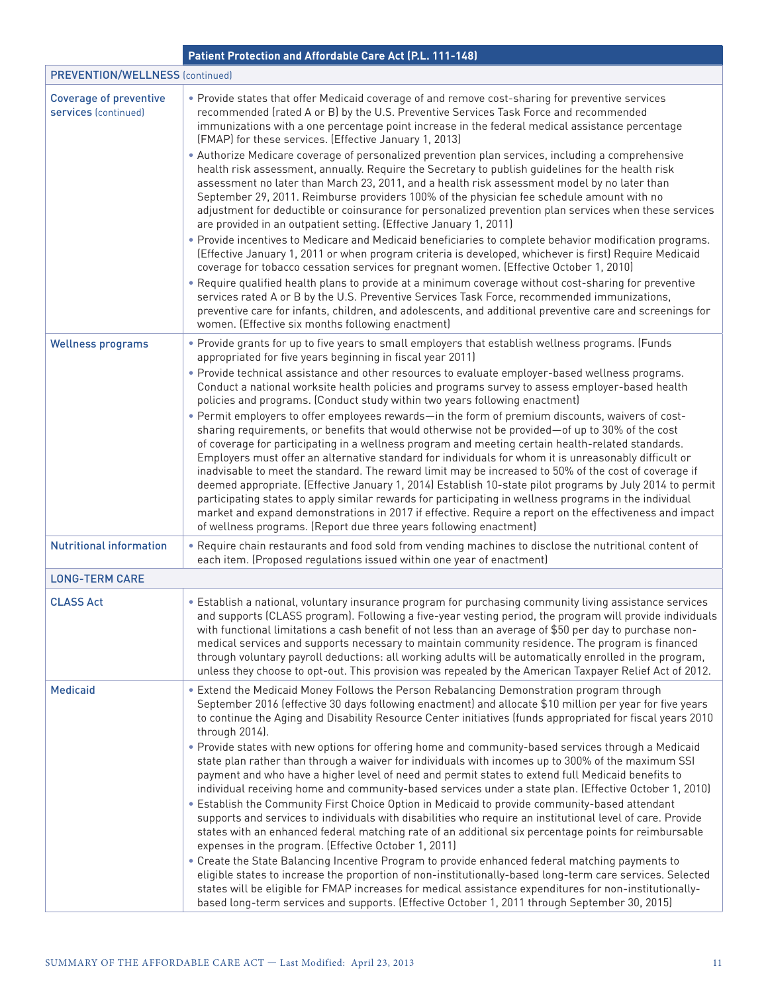|                                                       | Patient Protection and Affordable Care Act (P.L. 111-148)                                                                                                                                                                                                                                                                                                                                                                                                                                                                                                                                                                                                                                                                                                                                                                     |
|-------------------------------------------------------|-------------------------------------------------------------------------------------------------------------------------------------------------------------------------------------------------------------------------------------------------------------------------------------------------------------------------------------------------------------------------------------------------------------------------------------------------------------------------------------------------------------------------------------------------------------------------------------------------------------------------------------------------------------------------------------------------------------------------------------------------------------------------------------------------------------------------------|
| <b>PREVENTION/WELLNESS (continued)</b>                |                                                                                                                                                                                                                                                                                                                                                                                                                                                                                                                                                                                                                                                                                                                                                                                                                               |
| <b>Coverage of preventive</b><br>services (continued) | . Provide states that offer Medicaid coverage of and remove cost-sharing for preventive services<br>recommended (rated A or B) by the U.S. Preventive Services Task Force and recommended<br>immunizations with a one percentage point increase in the federal medical assistance percentage<br>(FMAP) for these services. (Effective January 1, 2013)                                                                                                                                                                                                                                                                                                                                                                                                                                                                        |
|                                                       | • Authorize Medicare coverage of personalized prevention plan services, including a comprehensive<br>health risk assessment, annually. Require the Secretary to publish guidelines for the health risk<br>assessment no later than March 23, 2011, and a health risk assessment model by no later than<br>September 29, 2011. Reimburse providers 100% of the physician fee schedule amount with no<br>adjustment for deductible or coinsurance for personalized prevention plan services when these services<br>are provided in an outpatient setting. (Effective January 1, 2011)                                                                                                                                                                                                                                           |
|                                                       | . Provide incentives to Medicare and Medicaid beneficiaries to complete behavior modification programs.<br>(Effective January 1, 2011 or when program criteria is developed, whichever is first) Require Medicaid<br>coverage for tobacco cessation services for pregnant women. (Effective October 1, 2010)                                                                                                                                                                                                                                                                                                                                                                                                                                                                                                                  |
|                                                       | . Require qualified health plans to provide at a minimum coverage without cost-sharing for preventive<br>services rated A or B by the U.S. Preventive Services Task Force, recommended immunizations,<br>preventive care for infants, children, and adolescents, and additional preventive care and screenings for<br>women. (Effective six months following enactment)                                                                                                                                                                                                                                                                                                                                                                                                                                                       |
| <b>Wellness programs</b>                              | . Provide grants for up to five years to small employers that establish wellness programs. (Funds<br>appropriated for five years beginning in fiscal year 2011)                                                                                                                                                                                                                                                                                                                                                                                                                                                                                                                                                                                                                                                               |
|                                                       | . Provide technical assistance and other resources to evaluate employer-based wellness programs.<br>Conduct a national worksite health policies and programs survey to assess employer-based health<br>policies and programs. (Conduct study within two years following enactment)<br>. Permit employers to offer employees rewards—in the form of premium discounts, waivers of cost-                                                                                                                                                                                                                                                                                                                                                                                                                                        |
|                                                       | sharing requirements, or benefits that would otherwise not be provided-of up to 30% of the cost<br>of coverage for participating in a wellness program and meeting certain health-related standards.<br>Employers must offer an alternative standard for individuals for whom it is unreasonably difficult or<br>inadvisable to meet the standard. The reward limit may be increased to 50% of the cost of coverage if<br>deemed appropriate. (Effective January 1, 2014) Establish 10-state pilot programs by July 2014 to permit<br>participating states to apply similar rewards for participating in wellness programs in the individual<br>market and expand demonstrations in 2017 if effective. Require a report on the effectiveness and impact<br>of wellness programs. (Report due three years following enactment) |
| <b>Nutritional information</b>                        | . Require chain restaurants and food sold from vending machines to disclose the nutritional content of<br>each item. (Proposed regulations issued within one year of enactment)                                                                                                                                                                                                                                                                                                                                                                                                                                                                                                                                                                                                                                               |
| <b>LONG-TERM CARE</b>                                 |                                                                                                                                                                                                                                                                                                                                                                                                                                                                                                                                                                                                                                                                                                                                                                                                                               |
| <b>CLASS Act</b>                                      | · Establish a national, voluntary insurance program for purchasing community living assistance services<br>and supports (CLASS program). Following a five-year vesting period, the program will provide individuals<br>with functional limitations a cash benefit of not less than an average of \$50 per day to purchase non-<br>medical services and supports necessary to maintain community residence. The program is financed<br>through voluntary payroll deductions: all working adults will be automatically enrolled in the program,<br>unless they choose to opt-out. This provision was repealed by the American Taxpayer Relief Act of 2012.                                                                                                                                                                      |
| <b>Medicaid</b>                                       | . Extend the Medicaid Money Follows the Person Rebalancing Demonstration program through<br>September 2016 (effective 30 days following enactment) and allocate \$10 million per year for five years<br>to continue the Aging and Disability Resource Center initiatives (funds appropriated for fiscal years 2010<br>through 2014).                                                                                                                                                                                                                                                                                                                                                                                                                                                                                          |
|                                                       | . Provide states with new options for offering home and community-based services through a Medicaid<br>state plan rather than through a waiver for individuals with incomes up to 300% of the maximum SSI<br>payment and who have a higher level of need and permit states to extend full Medicaid benefits to<br>individual receiving home and community-based services under a state plan. (Effective October 1, 2010)                                                                                                                                                                                                                                                                                                                                                                                                      |
|                                                       | • Establish the Community First Choice Option in Medicaid to provide community-based attendant<br>supports and services to individuals with disabilities who require an institutional level of care. Provide<br>states with an enhanced federal matching rate of an additional six percentage points for reimbursable<br>expenses in the program. (Effective October 1, 2011)                                                                                                                                                                                                                                                                                                                                                                                                                                                 |
|                                                       | . Create the State Balancing Incentive Program to provide enhanced federal matching payments to<br>eligible states to increase the proportion of non-institutionally-based long-term care services. Selected<br>states will be eligible for FMAP increases for medical assistance expenditures for non-institutionally-<br>based long-term services and supports. (Effective October 1, 2011 through September 30, 2015)                                                                                                                                                                                                                                                                                                                                                                                                      |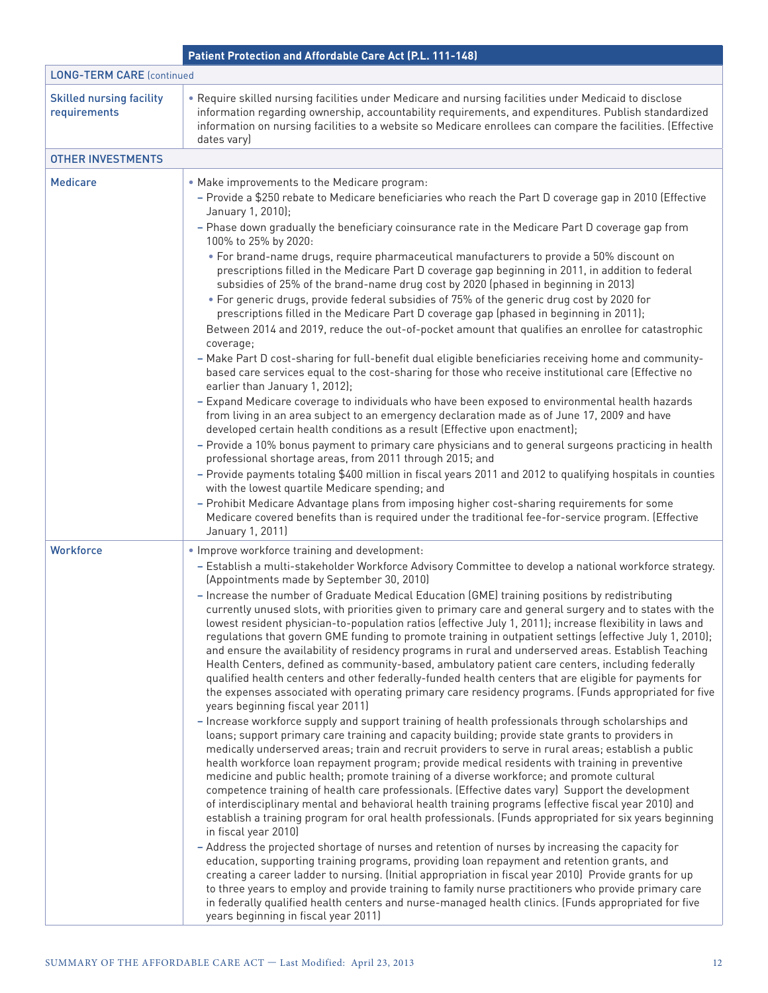|                                                 | Patient Protection and Affordable Care Act (P.L. 111-148)                                                                                                                                                                                                                                                                                                                                                                                                                                                                                                                                                                                                                                                                                                                                                                                                                                                                                                                                                                                                                                                                                                                                                                                                                                                                                                                                                                                                                                                                                                                                                                                                                                                                                                                                                                                                                                                                                                                                                                                                                                                                                                                                                                                                                                                                                                                                                                                                                                                                                          |  |
|-------------------------------------------------|----------------------------------------------------------------------------------------------------------------------------------------------------------------------------------------------------------------------------------------------------------------------------------------------------------------------------------------------------------------------------------------------------------------------------------------------------------------------------------------------------------------------------------------------------------------------------------------------------------------------------------------------------------------------------------------------------------------------------------------------------------------------------------------------------------------------------------------------------------------------------------------------------------------------------------------------------------------------------------------------------------------------------------------------------------------------------------------------------------------------------------------------------------------------------------------------------------------------------------------------------------------------------------------------------------------------------------------------------------------------------------------------------------------------------------------------------------------------------------------------------------------------------------------------------------------------------------------------------------------------------------------------------------------------------------------------------------------------------------------------------------------------------------------------------------------------------------------------------------------------------------------------------------------------------------------------------------------------------------------------------------------------------------------------------------------------------------------------------------------------------------------------------------------------------------------------------------------------------------------------------------------------------------------------------------------------------------------------------------------------------------------------------------------------------------------------------------------------------------------------------------------------------------------------------|--|
| <b>LONG-TERM CARE</b> (continued                |                                                                                                                                                                                                                                                                                                                                                                                                                                                                                                                                                                                                                                                                                                                                                                                                                                                                                                                                                                                                                                                                                                                                                                                                                                                                                                                                                                                                                                                                                                                                                                                                                                                                                                                                                                                                                                                                                                                                                                                                                                                                                                                                                                                                                                                                                                                                                                                                                                                                                                                                                    |  |
| <b>Skilled nursing facility</b><br>requirements | . Require skilled nursing facilities under Medicare and nursing facilities under Medicaid to disclose<br>information regarding ownership, accountability requirements, and expenditures. Publish standardized<br>information on nursing facilities to a website so Medicare enrollees can compare the facilities. (Effective<br>dates vary)                                                                                                                                                                                                                                                                                                                                                                                                                                                                                                                                                                                                                                                                                                                                                                                                                                                                                                                                                                                                                                                                                                                                                                                                                                                                                                                                                                                                                                                                                                                                                                                                                                                                                                                                                                                                                                                                                                                                                                                                                                                                                                                                                                                                        |  |
| <b>OTHER INVESTMENTS</b>                        |                                                                                                                                                                                                                                                                                                                                                                                                                                                                                                                                                                                                                                                                                                                                                                                                                                                                                                                                                                                                                                                                                                                                                                                                                                                                                                                                                                                                                                                                                                                                                                                                                                                                                                                                                                                                                                                                                                                                                                                                                                                                                                                                                                                                                                                                                                                                                                                                                                                                                                                                                    |  |
| <b>Medicare</b>                                 | • Make improvements to the Medicare program:<br>- Provide a \$250 rebate to Medicare beneficiaries who reach the Part D coverage gap in 2010 (Effective<br>January 1, 2010);<br>- Phase down gradually the beneficiary coinsurance rate in the Medicare Part D coverage gap from<br>100% to 25% by 2020:<br>· For brand-name drugs, require pharmaceutical manufacturers to provide a 50% discount on<br>prescriptions filled in the Medicare Part D coverage gap beginning in 2011, in addition to federal<br>subsidies of 25% of the brand-name drug cost by 2020 (phased in beginning in 2013)<br>. For generic drugs, provide federal subsidies of 75% of the generic drug cost by 2020 for<br>prescriptions filled in the Medicare Part D coverage gap (phased in beginning in 2011);                                                                                                                                                                                                                                                                                                                                                                                                                                                                                                                                                                                                                                                                                                                                                                                                                                                                                                                                                                                                                                                                                                                                                                                                                                                                                                                                                                                                                                                                                                                                                                                                                                                                                                                                                         |  |
|                                                 | Between 2014 and 2019, reduce the out-of-pocket amount that qualifies an enrollee for catastrophic<br>coverage;<br>- Make Part D cost-sharing for full-benefit dual eligible beneficiaries receiving home and community-<br>based care services equal to the cost-sharing for those who receive institutional care (Effective no<br>earlier than January 1, 2012);<br>- Expand Medicare coverage to individuals who have been exposed to environmental health hazards<br>from living in an area subject to an emergency declaration made as of June 17, 2009 and have<br>developed certain health conditions as a result (Effective upon enactment);<br>- Provide a 10% bonus payment to primary care physicians and to general surgeons practicing in health<br>professional shortage areas, from 2011 through 2015; and<br>- Provide payments totaling \$400 million in fiscal years 2011 and 2012 to qualifying hospitals in counties<br>with the lowest quartile Medicare spending; and                                                                                                                                                                                                                                                                                                                                                                                                                                                                                                                                                                                                                                                                                                                                                                                                                                                                                                                                                                                                                                                                                                                                                                                                                                                                                                                                                                                                                                                                                                                                                        |  |
|                                                 | - Prohibit Medicare Advantage plans from imposing higher cost-sharing requirements for some<br>Medicare covered benefits than is required under the traditional fee-for-service program. (Effective<br>January 1, 2011)                                                                                                                                                                                                                                                                                                                                                                                                                                                                                                                                                                                                                                                                                                                                                                                                                                                                                                                                                                                                                                                                                                                                                                                                                                                                                                                                                                                                                                                                                                                                                                                                                                                                                                                                                                                                                                                                                                                                                                                                                                                                                                                                                                                                                                                                                                                            |  |
| Workforce                                       | · Improve workforce training and development:<br>- Establish a multi-stakeholder Workforce Advisory Committee to develop a national workforce strategy.<br>(Appointments made by September 30, 2010)<br>- Increase the number of Graduate Medical Education (GME) training positions by redistributing<br>currently unused slots, with priorities given to primary care and general surgery and to states with the<br>lowest resident physician-to-population ratios (effective July 1, 2011); increase flexibility in laws and<br>regulations that govern GME funding to promote training in outpatient settings (effective July 1, 2010);<br>and ensure the availability of residency programs in rural and underserved areas. Establish Teaching<br>Health Centers, defined as community-based, ambulatory patient care centers, including federally<br>qualified health centers and other federally-funded health centers that are eligible for payments for<br>the expenses associated with operating primary care residency programs. (Funds appropriated for five<br>years beginning fiscal year 2011)<br>- Increase workforce supply and support training of health professionals through scholarships and<br>loans; support primary care training and capacity building; provide state grants to providers in<br>medically underserved areas; train and recruit providers to serve in rural areas; establish a public<br>health workforce loan repayment program; provide medical residents with training in preventive<br>medicine and public health; promote training of a diverse workforce; and promote cultural<br>competence training of health care professionals. (Effective dates vary) Support the development<br>of interdisciplinary mental and behavioral health training programs (effective fiscal year 2010) and<br>establish a training program for oral health professionals. (Funds appropriated for six years beginning<br>in fiscal year 2010)<br>- Address the projected shortage of nurses and retention of nurses by increasing the capacity for<br>education, supporting training programs, providing loan repayment and retention grants, and<br>creating a career ladder to nursing. (Initial appropriation in fiscal year 2010) Provide grants for up<br>to three years to employ and provide training to family nurse practitioners who provide primary care<br>in federally qualified health centers and nurse-managed health clinics. (Funds appropriated for five<br>years beginning in fiscal year 2011) |  |